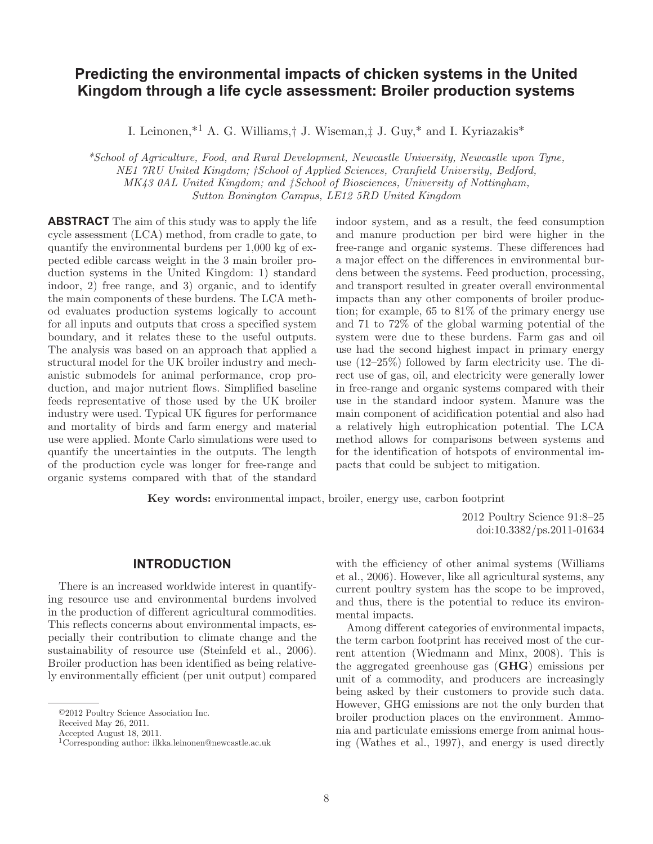# **Predicting the environmental impacts of chicken systems in the United Kingdom through a life cycle assessment: Broiler production systems**

I. Leinonen,  $*^1$  A. G. Williams, † J. Wiseman,  $\ddagger$  J. Guy,  $*$  and I. Kyriazakis  $*$ 

 *\* School of Agriculture, Food, and Rural Development, Newcastle University, Newcastle upon Tyne, NE1 7RU United Kingdom; † School of Applied Sciences, Cranfield University, Bedford, MK43 0AL United Kingdom; and ‡ School of Biosciences, University of Nottingham, Sutton Bonington Campus, LE12 5RD United Kingdom* 

**ABSTRACT** The aim of this study was to apply the life cycle assessment (LCA) method, from cradle to gate, to quantify the environmental burdens per 1,000 kg of expected edible carcass weight in the 3 main broiler production systems in the United Kingdom: 1) standard indoor, 2) free range, and 3) organic, and to identify the main components of these burdens. The LCA method evaluates production systems logically to account for all inputs and outputs that cross a specified system boundary, and it relates these to the useful outputs. The analysis was based on an approach that applied a structural model for the UK broiler industry and mechanistic submodels for animal performance, crop production, and major nutrient flows. Simplified baseline feeds representative of those used by the UK broiler industry were used. Typical UK figures for performance and mortality of birds and farm energy and material use were applied. Monte Carlo simulations were used to quantify the uncertainties in the outputs. The length of the production cycle was longer for free-range and organic systems compared with that of the standard indoor system, and as a result, the feed consumption and manure production per bird were higher in the free-range and organic systems. These differences had a major effect on the differences in environmental burdens between the systems. Feed production, processing, and transport resulted in greater overall environmental impacts than any other components of broiler production; for example, 65 to 81% of the primary energy use and 71 to 72% of the global warming potential of the system were due to these burdens. Farm gas and oil use had the second highest impact in primary energy use (12–25%) followed by farm electricity use. The direct use of gas, oil, and electricity were generally lower in free-range and organic systems compared with their use in the standard indoor system. Manure was the main component of acidification potential and also had a relatively high eutrophication potential. The LCA method allows for comparisons between systems and for the identification of hotspots of environmental impacts that could be subject to mitigation.

**Key words:** environmental impact, broiler, energy use, carbon footprint

 2012 Poultry Science 91 :8–25 doi: 10.3382/ps.2011-01634

## **INTRODUCTION**

 There is an increased worldwide interest in quantifying resource use and environmental burdens involved in the production of different agricultural commodities. This reflects concerns about environmental impacts, especially their contribution to climate change and the sustainability of resource use (Steinfeld et al., 2006). Broiler production has been identified as being relatively environmentally efficient (per unit output) compared

Received May 26, 2011.

with the efficiency of other animal systems (Williams et al., 2006). However, like all agricultural systems, any current poultry system has the scope to be improved, and thus, there is the potential to reduce its environmental impacts.

 Among different categories of environmental impacts, the term carbon footprint has received most of the current attention (Wiedmann and Minx, 2008). This is the aggregated greenhouse gas (**GHG**) emissions per unit of a commodity, and producers are increasingly being asked by their customers to provide such data. However, GHG emissions are not the only burden that broiler production places on the environment. Ammonia and particulate emissions emerge from animal housing (Wathes et al., 1997), and energy is used directly

<sup>© 2012</sup> Poultry Science Association Inc.

Accepted August 18, 2011.

 <sup>1</sup> Corresponding author: ilkka.leinonen@newcastle.ac.uk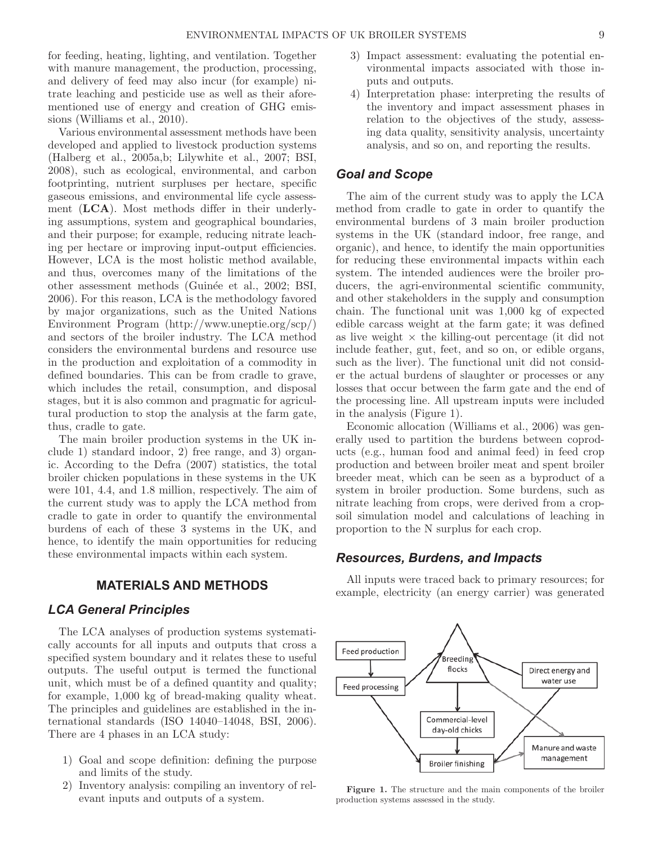for feeding, heating, lighting, and ventilation. Together with manure management, the production, processing, and delivery of feed may also incur (for example) nitrate leaching and pesticide use as well as their aforementioned use of energy and creation of GHG emissions (Williams et al., 2010).

Various environmental assessment methods have been developed and applied to livestock production systems (Halberg et al., 2005a,b; Lilywhite et al., 2007; BSI, 2008), such as ecological, environmental, and carbon footprinting, nutrient surpluses per hectare, specific gaseous emissions, and environmental life cycle assessment (**LCA**). Most methods differ in their underlying assumptions, system and geographical boundaries, and their purpose; for example, reducing nitrate leaching per hectare or improving input-output efficiencies. However, LCA is the most holistic method available, and thus, overcomes many of the limitations of the other assessment methods (Guinée et al., 2002; BSI, 2006). For this reason, LCA is the methodology favored by major organizations, such as the United Nations Environment Program (http://www.uneptie.org/scp/) and sectors of the broiler industry. The LCA method considers the environmental burdens and resource use in the production and exploitation of a commodity in defined boundaries. This can be from cradle to grave, which includes the retail, consumption, and disposal stages, but it is also common and pragmatic for agricultural production to stop the analysis at the farm gate, thus, cradle to gate.

The main broiler production systems in the UK include 1) standard indoor, 2) free range, and 3) organic. According to the Defra (2007) statistics, the total broiler chicken populations in these systems in the UK were 101, 4.4, and 1.8 million, respectively. The aim of the current study was to apply the LCA method from cradle to gate in order to quantify the environmental burdens of each of these 3 systems in the UK, and hence, to identify the main opportunities for reducing these environmental impacts within each system.

## **MATERIALS AND METHODS**

#### *LCA General Principles*

The LCA analyses of production systems systematically accounts for all inputs and outputs that cross a specified system boundary and it relates these to useful outputs. The useful output is termed the functional unit, which must be of a defined quantity and quality; for example, 1,000 kg of bread-making quality wheat. The principles and guidelines are established in the international standards (ISO 14040–14048, BSI, 2006). There are 4 phases in an LCA study:

- 1) Goal and scope definition: defining the purpose and limits of the study.
- 2) Inventory analysis: compiling an inventory of relevant inputs and outputs of a system.
- 3) Impact assessment: evaluating the potential environmental impacts associated with those inputs and outputs.
- 4) Interpretation phase: interpreting the results of the inventory and impact assessment phases in relation to the objectives of the study, assessing data quality, sensitivity analysis, uncertainty analysis, and so on, and reporting the results.

## *Goal and Scope*

The aim of the current study was to apply the LCA method from cradle to gate in order to quantify the environmental burdens of 3 main broiler production systems in the UK (standard indoor, free range, and organic), and hence, to identify the main opportunities for reducing these environmental impacts within each system. The intended audiences were the broiler producers, the agri-environmental scientific community, and other stakeholders in the supply and consumption chain. The functional unit was 1,000 kg of expected edible carcass weight at the farm gate; it was defined as live weight  $\times$  the killing-out percentage (it did not include feather, gut, feet, and so on, or edible organs, such as the liver). The functional unit did not consider the actual burdens of slaughter or processes or any losses that occur between the farm gate and the end of the processing line. All upstream inputs were included in the analysis (Figure 1).

Economic allocation (Williams et al., 2006) was generally used to partition the burdens between coproducts (e.g., human food and animal feed) in feed crop production and between broiler meat and spent broiler breeder meat, which can be seen as a byproduct of a system in broiler production. Some burdens, such as nitrate leaching from crops, were derived from a cropsoil simulation model and calculations of leaching in proportion to the N surplus for each crop.

## *Resources, Burdens, and Impacts*

All inputs were traced back to primary resources; for example, electricity (an energy carrier) was generated



**Figure 1.** The structure and the main components of the broiler production systems assessed in the study.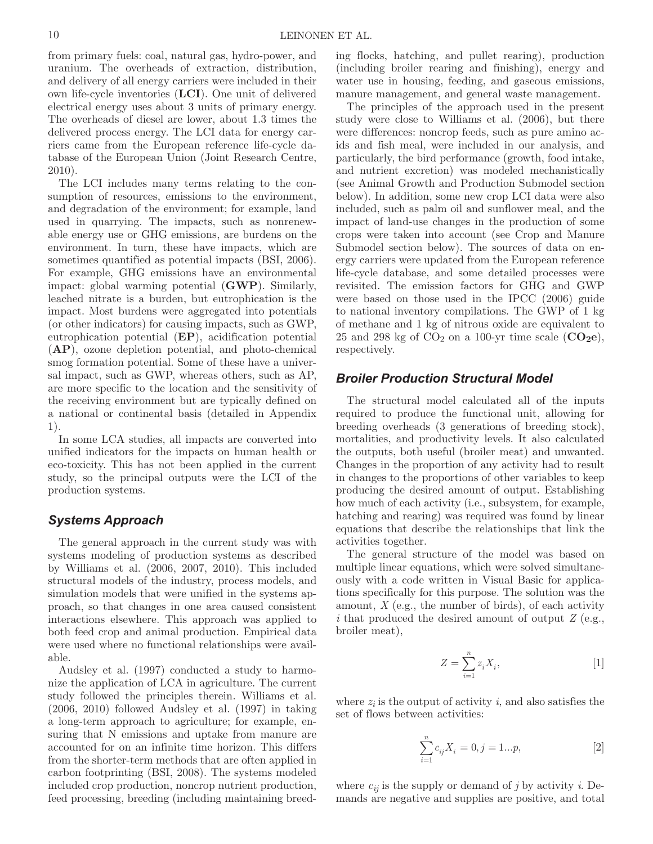from primary fuels: coal, natural gas, hydro-power, and uranium. The overheads of extraction, distribution, and delivery of all energy carriers were included in their own life-cycle inventories (**LCI**). One unit of delivered electrical energy uses about 3 units of primary energy. The overheads of diesel are lower, about 1.3 times the delivered process energy. The LCI data for energy carriers came from the European reference life-cycle database of the European Union (Joint Research Centre, 2010).

The LCI includes many terms relating to the consumption of resources, emissions to the environment, and degradation of the environment; for example, land used in quarrying. The impacts, such as nonrenewable energy use or GHG emissions, are burdens on the environment. In turn, these have impacts, which are sometimes quantified as potential impacts (BSI, 2006). For example, GHG emissions have an environmental impact: global warming potential (**GWP**). Similarly, leached nitrate is a burden, but eutrophication is the impact. Most burdens were aggregated into potentials (or other indicators) for causing impacts, such as GWP, eutrophication potential (**EP**), acidification potential (**AP**), ozone depletion potential, and photo-chemical smog formation potential. Some of these have a universal impact, such as GWP, whereas others, such as AP, are more specific to the location and the sensitivity of the receiving environment but are typically defined on a national or continental basis (detailed in Appendix 1).

In some LCA studies, all impacts are converted into unified indicators for the impacts on human health or eco-toxicity. This has not been applied in the current study, so the principal outputs were the LCI of the production systems.

## *Systems Approach*

The general approach in the current study was with systems modeling of production systems as described by Williams et al. (2006, 2007, 2010). This included structural models of the industry, process models, and simulation models that were unified in the systems approach, so that changes in one area caused consistent interactions elsewhere. This approach was applied to both feed crop and animal production. Empirical data were used where no functional relationships were available.

Audsley et al. (1997) conducted a study to harmonize the application of LCA in agriculture. The current study followed the principles therein. Williams et al. (2006, 2010) followed Audsley et al. (1997) in taking a long-term approach to agriculture; for example, ensuring that N emissions and uptake from manure are accounted for on an infinite time horizon. This differs from the shorter-term methods that are often applied in carbon footprinting (BSI, 2008). The systems modeled included crop production, noncrop nutrient production, feed processing, breeding (including maintaining breeding flocks, hatching, and pullet rearing), production (including broiler rearing and finishing), energy and water use in housing, feeding, and gaseous emissions, manure management, and general waste management.

The principles of the approach used in the present study were close to Williams et al. (2006), but there were differences: noncrop feeds, such as pure amino acids and fish meal, were included in our analysis, and particularly, the bird performance (growth, food intake, and nutrient excretion) was modeled mechanistically (see Animal Growth and Production Submodel section below). In addition, some new crop LCI data were also included, such as palm oil and sunflower meal, and the impact of land-use changes in the production of some crops were taken into account (see Crop and Manure Submodel section below). The sources of data on energy carriers were updated from the European reference life-cycle database, and some detailed processes were revisited. The emission factors for GHG and GWP were based on those used in the IPCC (2006) guide to national inventory compilations. The GWP of 1 kg of methane and 1 kg of nitrous oxide are equivalent to 25 and 298 kg of  $CO<sub>2</sub>$  on a 100-yr time scale  $(CO<sub>2</sub>e)$ , respectively.

## *Broiler Production Structural Model*

The structural model calculated all of the inputs required to produce the functional unit, allowing for breeding overheads (3 generations of breeding stock), mortalities, and productivity levels. It also calculated the outputs, both useful (broiler meat) and unwanted. Changes in the proportion of any activity had to result in changes to the proportions of other variables to keep producing the desired amount of output. Establishing how much of each activity (i.e., subsystem, for example, hatching and rearing) was required was found by linear equations that describe the relationships that link the activities together.

The general structure of the model was based on multiple linear equations, which were solved simultaneously with a code written in Visual Basic for applications specifically for this purpose. The solution was the amount, *X* (e.g., the number of birds), of each activity *i* that produced the desired amount of output *Z* (e.g., broiler meat),

$$
Z = \sum_{i=1}^{n} z_i X_i, \qquad [1]
$$

where  $z_i$  is the output of activity  $i$ , and also satisfies the set of flows between activities:

$$
\sum_{i=1}^{n} c_{ij} X_i = 0, j = 1...p,
$$
 [2]

where  $c_{ij}$  is the supply or demand of  $j$  by activity  $i$ . Demands are negative and supplies are positive, and total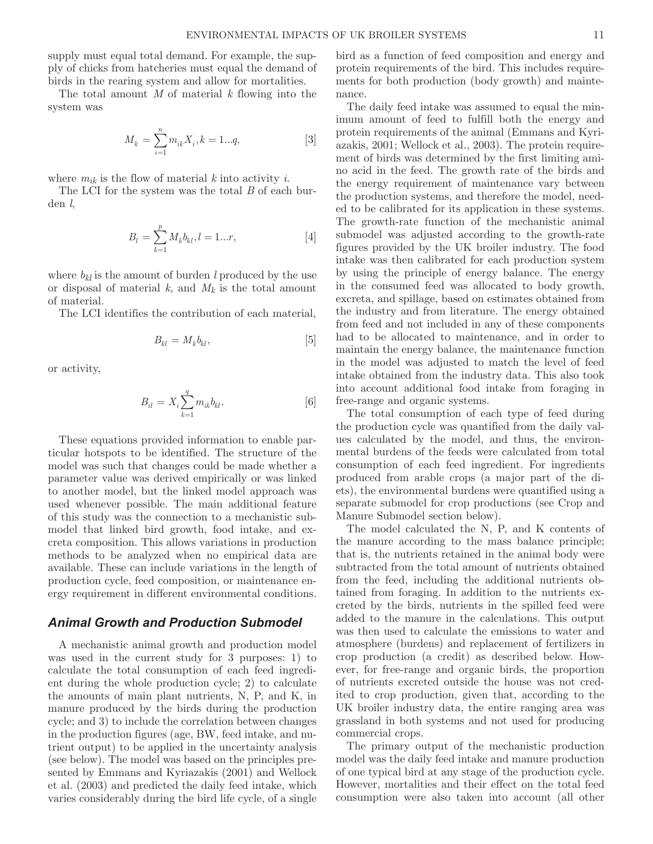supply must equal total demand. For example, the supply of chicks from hatcheries must equal the demand of birds in the rearing system and allow for mortalities.

The total amount *M* of material *k* flowing into the system was

$$
M_k=\sum_{i=1}^n m_{ik}X_i, k=1...q,\qquad \qquad [3]
$$

where  $m_{ik}$  is the flow of material  $k$  into activity  $i$ .

The LCI for the system was the total *B* of each burden *l*,

$$
B_l = \sum_{k=1}^{p} M_k b_{kl}, l = 1...r,
$$
 [4]

where  $b_{kl}$  is the amount of burden *l* produced by the use or disposal of material  $k$ , and  $M_k$  is the total amount of material.

The LCI identifies the contribution of each material,

$$
B_{kl} = M_k b_{kl},\tag{5}
$$

or activity,

$$
B_{il} = X_i \sum_{k=1}^{q} m_{ik} b_{kl}.
$$
 [6]

These equations provided information to enable particular hotspots to be identified. The structure of the model was such that changes could be made whether a parameter value was derived empirically or was linked to another model, but the linked model approach was used whenever possible. The main additional feature of this study was the connection to a mechanistic submodel that linked bird growth, food intake, and excreta composition. This allows variations in production methods to be analyzed when no empirical data are available. These can include variations in the length of production cycle, feed composition, or maintenance energy requirement in different environmental conditions.

### *Animal Growth and Production Submodel*

A mechanistic animal growth and production model was used in the current study for 3 purposes: 1) to calculate the total consumption of each feed ingredient during the whole production cycle; 2) to calculate the amounts of main plant nutrients, N, P, and K, in manure produced by the birds during the production cycle; and 3) to include the correlation between changes in the production figures (age, BW, feed intake, and nutrient output) to be applied in the uncertainty analysis (see below). The model was based on the principles presented by Emmans and Kyriazakis (2001) and Wellock et al. (2003) and predicted the daily feed intake, which varies considerably during the bird life cycle, of a single bird as a function of feed composition and energy and protein requirements of the bird. This includes requirements for both production (body growth) and maintenance.

The daily feed intake was assumed to equal the minimum amount of feed to fulfill both the energy and protein requirements of the animal (Emmans and Kyriazakis, 2001; Wellock et al., 2003). The protein requirement of birds was determined by the first limiting amino acid in the feed. The growth rate of the birds and the energy requirement of maintenance vary between the production systems, and therefore the model, needed to be calibrated for its application in these systems. The growth-rate function of the mechanistic animal submodel was adjusted according to the growth-rate figures provided by the UK broiler industry. The food intake was then calibrated for each production system by using the principle of energy balance. The energy in the consumed feed was allocated to body growth, excreta, and spillage, based on estimates obtained from the industry and from literature. The energy obtained from feed and not included in any of these components had to be allocated to maintenance, and in order to maintain the energy balance, the maintenance function in the model was adjusted to match the level of feed intake obtained from the industry data. This also took into account additional food intake from foraging in free-range and organic systems.

The total consumption of each type of feed during the production cycle was quantified from the daily values calculated by the model, and thus, the environmental burdens of the feeds were calculated from total consumption of each feed ingredient. For ingredients produced from arable crops (a major part of the diets), the environmental burdens were quantified using a separate submodel for crop productions (see Crop and Manure Submodel section below).

The model calculated the N, P, and K contents of the manure according to the mass balance principle; that is, the nutrients retained in the animal body were subtracted from the total amount of nutrients obtained from the feed, including the additional nutrients obtained from foraging. In addition to the nutrients excreted by the birds, nutrients in the spilled feed were added to the manure in the calculations. This output was then used to calculate the emissions to water and atmosphere (burdens) and replacement of fertilizers in crop production (a credit) as described below. However, for free-range and organic birds, the proportion of nutrients excreted outside the house was not credited to crop production, given that, according to the UK broiler industry data, the entire ranging area was grassland in both systems and not used for producing commercial crops.

The primary output of the mechanistic production model was the daily feed intake and manure production of one typical bird at any stage of the production cycle. However, mortalities and their effect on the total feed consumption were also taken into account (all other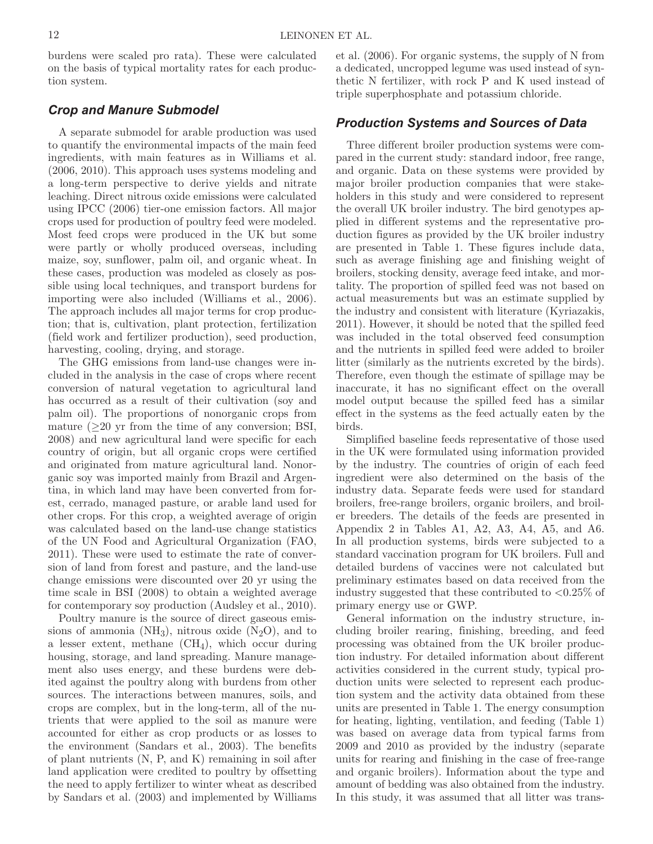burdens were scaled pro rata). These were calculated on the basis of typical mortality rates for each production system.

## *Crop and Manure Submodel*

A separate submodel for arable production was used to quantify the environmental impacts of the main feed ingredients, with main features as in Williams et al. (2006, 2010). This approach uses systems modeling and a long-term perspective to derive yields and nitrate leaching. Direct nitrous oxide emissions were calculated using IPCC (2006) tier-one emission factors. All major crops used for production of poultry feed were modeled. Most feed crops were produced in the UK but some were partly or wholly produced overseas, including maize, soy, sunflower, palm oil, and organic wheat. In these cases, production was modeled as closely as possible using local techniques, and transport burdens for importing were also included (Williams et al., 2006). The approach includes all major terms for crop production; that is, cultivation, plant protection, fertilization (field work and fertilizer production), seed production, harvesting, cooling, drying, and storage.

The GHG emissions from land-use changes were included in the analysis in the case of crops where recent conversion of natural vegetation to agricultural land has occurred as a result of their cultivation (soy and palm oil). The proportions of nonorganic crops from mature  $(\geq 20$  yr from the time of any conversion; BSI, 2008) and new agricultural land were specific for each country of origin, but all organic crops were certified and originated from mature agricultural land. Nonorganic soy was imported mainly from Brazil and Argentina, in which land may have been converted from forest, cerrado, managed pasture, or arable land used for other crops. For this crop, a weighted average of origin was calculated based on the land-use change statistics of the UN Food and Agricultural Organization (FAO, 2011). These were used to estimate the rate of conversion of land from forest and pasture, and the land-use change emissions were discounted over 20 yr using the time scale in BSI (2008) to obtain a weighted average for contemporary soy production (Audsley et al., 2010).

Poultry manure is the source of direct gaseous emissions of ammonia ( $NH_3$ ), nitrous oxide ( $N_2O$ ), and to a lesser extent, methane  $(CH<sub>4</sub>)$ , which occur during housing, storage, and land spreading. Manure management also uses energy, and these burdens were debited against the poultry along with burdens from other sources. The interactions between manures, soils, and crops are complex, but in the long-term, all of the nutrients that were applied to the soil as manure were accounted for either as crop products or as losses to the environment (Sandars et al., 2003). The benefits of plant nutrients (N, P, and K) remaining in soil after land application were credited to poultry by offsetting the need to apply fertilizer to winter wheat as described by Sandars et al. (2003) and implemented by Williams et al. (2006). For organic systems, the supply of N from a dedicated, uncropped legume was used instead of synthetic N fertilizer, with rock P and K used instead of triple superphosphate and potassium chloride.

## *Production Systems and Sources of Data*

Three different broiler production systems were compared in the current study: standard indoor, free range, and organic. Data on these systems were provided by major broiler production companies that were stakeholders in this study and were considered to represent the overall UK broiler industry. The bird genotypes applied in different systems and the representative production figures as provided by the UK broiler industry are presented in Table 1. These figures include data, such as average finishing age and finishing weight of broilers, stocking density, average feed intake, and mortality. The proportion of spilled feed was not based on actual measurements but was an estimate supplied by the industry and consistent with literature (Kyriazakis, 2011). However, it should be noted that the spilled feed was included in the total observed feed consumption and the nutrients in spilled feed were added to broiler litter (similarly as the nutrients excreted by the birds). Therefore, even though the estimate of spillage may be inaccurate, it has no significant effect on the overall model output because the spilled feed has a similar effect in the systems as the feed actually eaten by the birds.

Simplified baseline feeds representative of those used in the UK were formulated using information provided by the industry. The countries of origin of each feed ingredient were also determined on the basis of the industry data. Separate feeds were used for standard broilers, free-range broilers, organic broilers, and broiler breeders. The details of the feeds are presented in Appendix 2 in Tables A1, A2, A3, A4, A5, and A6. In all production systems, birds were subjected to a standard vaccination program for UK broilers. Full and detailed burdens of vaccines were not calculated but preliminary estimates based on data received from the industry suggested that these contributed to  $\langle 0.25\% \rangle$  of primary energy use or GWP.

General information on the industry structure, including broiler rearing, finishing, breeding, and feed processing was obtained from the UK broiler production industry. For detailed information about different activities considered in the current study, typical production units were selected to represent each production system and the activity data obtained from these units are presented in Table 1. The energy consumption for heating, lighting, ventilation, and feeding (Table 1) was based on average data from typical farms from 2009 and 2010 as provided by the industry (separate units for rearing and finishing in the case of free-range and organic broilers). Information about the type and amount of bedding was also obtained from the industry. In this study, it was assumed that all litter was trans-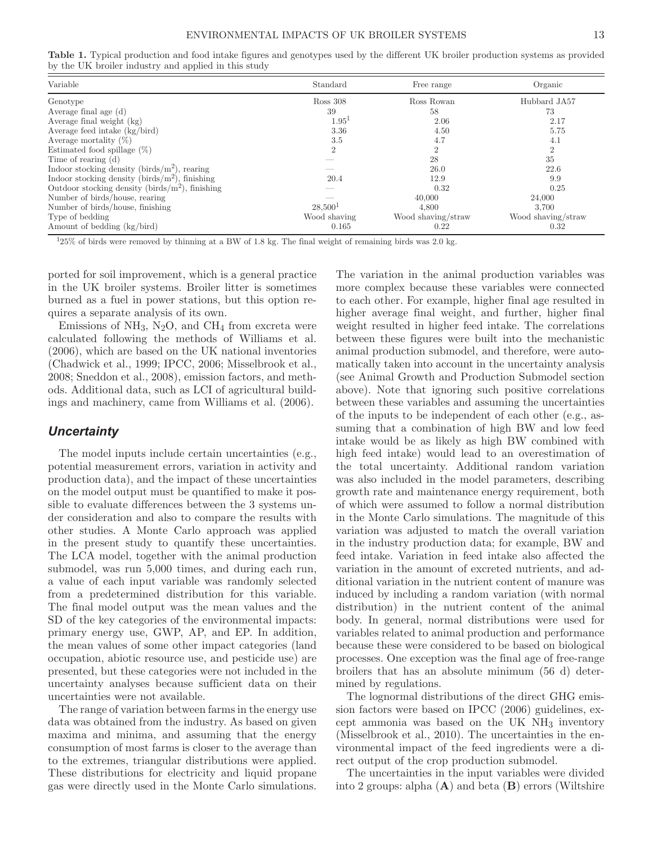| Variable                                           | Standard            | Free range         | Organic            |
|----------------------------------------------------|---------------------|--------------------|--------------------|
| Genotype                                           | Ross 308            | Ross Rowan         | Hubbard JA57       |
| Average final age $(d)$                            | 39                  | 58                 | 73                 |
| Average final weight (kg)                          | $1.95^{1}$          | 2.06               | 2.17               |
| Average feed intake (kg/bird)                      | 3.36                | 4.50               | 5.75               |
| Average mortality $(\%)$                           | 3.5                 | 4.7                | 4.1                |
| Estimated food spillage $(\%)$                     | $\overline{2}$      | $\overline{2}$     | $\overline{2}$     |
| Time of rearing (d)                                |                     | 28                 | 35                 |
| Indoor stocking density (birds/ $m^2$ ), rearing   |                     | 26.0               | 22.6               |
| Indoor stocking density (birds/ $m2$ ), finishing  | 20.4                | 12.9               | 9.9                |
| Outdoor stocking density (birds/ $m2$ ), finishing |                     | 0.32               | 0.25               |
| Number of birds/house, rearing                     |                     | 40,000             | 24,000             |
| Number of birds/house, finishing                   | 28,500 <sup>1</sup> | 4,800              | 3,700              |
| Type of bedding                                    | Wood shaving        | Wood shaving/straw | Wood shaving/straw |
| Amount of bedding (kg/bird)                        | 0.165               | 0.22               | 0.32               |

**Table 1.** Typical production and food intake figures and genotypes used by the different UK broiler production systems as provided by the UK broiler industry and applied in this study

125% of birds were removed by thinning at a BW of 1.8 kg. The final weight of remaining birds was 2.0 kg.

ported for soil improvement, which is a general practice in the UK broiler systems. Broiler litter is sometimes burned as a fuel in power stations, but this option requires a separate analysis of its own.

Emissions of  $NH_3$ , N<sub>2</sub>O, and CH<sub>4</sub> from excreta were calculated following the methods of Williams et al. (2006), which are based on the UK national inventories (Chadwick et al., 1999; IPCC, 2006; Misselbrook et al., 2008; Sneddon et al., 2008), emission factors, and methods. Additional data, such as LCI of agricultural buildings and machinery, came from Williams et al. (2006).

#### *Uncertainty*

The model inputs include certain uncertainties (e.g., potential measurement errors, variation in activity and production data), and the impact of these uncertainties on the model output must be quantified to make it possible to evaluate differences between the 3 systems under consideration and also to compare the results with other studies. A Monte Carlo approach was applied in the present study to quantify these uncertainties. The LCA model, together with the animal production submodel, was run 5,000 times, and during each run, a value of each input variable was randomly selected from a predetermined distribution for this variable. The final model output was the mean values and the SD of the key categories of the environmental impacts: primary energy use, GWP, AP, and EP. In addition, the mean values of some other impact categories (land occupation, abiotic resource use, and pesticide use) are presented, but these categories were not included in the uncertainty analyses because sufficient data on their uncertainties were not available.

The range of variation between farms in the energy use data was obtained from the industry. As based on given maxima and minima, and assuming that the energy consumption of most farms is closer to the average than to the extremes, triangular distributions were applied. These distributions for electricity and liquid propane gas were directly used in the Monte Carlo simulations. The variation in the animal production variables was more complex because these variables were connected to each other. For example, higher final age resulted in higher average final weight, and further, higher final weight resulted in higher feed intake. The correlations between these figures were built into the mechanistic animal production submodel, and therefore, were automatically taken into account in the uncertainty analysis (see Animal Growth and Production Submodel section above). Note that ignoring such positive correlations between these variables and assuming the uncertainties of the inputs to be independent of each other (e.g., assuming that a combination of high BW and low feed intake would be as likely as high BW combined with high feed intake) would lead to an overestimation of the total uncertainty. Additional random variation was also included in the model parameters, describing growth rate and maintenance energy requirement, both of which were assumed to follow a normal distribution in the Monte Carlo simulations. The magnitude of this variation was adjusted to match the overall variation in the industry production data; for example, BW and feed intake. Variation in feed intake also affected the variation in the amount of excreted nutrients, and additional variation in the nutrient content of manure was induced by including a random variation (with normal distribution) in the nutrient content of the animal body. In general, normal distributions were used for variables related to animal production and performance because these were considered to be based on biological processes. One exception was the final age of free-range broilers that has an absolute minimum (56 d) determined by regulations.

The lognormal distributions of the direct GHG emission factors were based on IPCC (2006) guidelines, except ammonia was based on the UK  $NH<sub>3</sub>$  inventory (Misselbrook et al., 2010). The uncertainties in the environmental impact of the feed ingredients were a direct output of the crop production submodel.

The uncertainties in the input variables were divided into 2 groups: alpha (**A**) and beta (**B**) errors (Wiltshire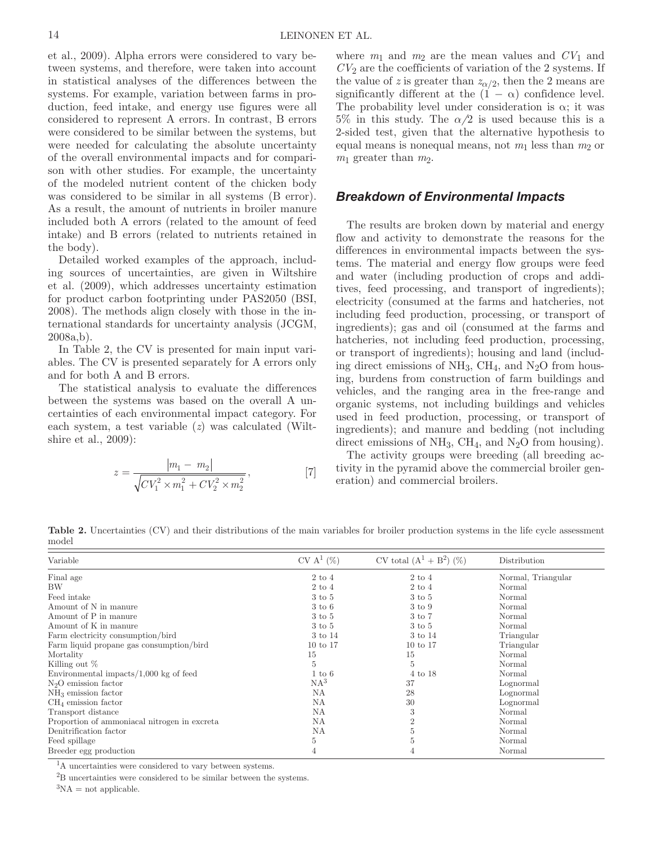et al., 2009). Alpha errors were considered to vary between systems, and therefore, were taken into account in statistical analyses of the differences between the systems. For example, variation between farms in production, feed intake, and energy use figures were all considered to represent A errors. In contrast, B errors were considered to be similar between the systems, but were needed for calculating the absolute uncertainty of the overall environmental impacts and for comparison with other studies. For example, the uncertainty of the modeled nutrient content of the chicken body was considered to be similar in all systems (B error). As a result, the amount of nutrients in broiler manure included both A errors (related to the amount of feed intake) and B errors (related to nutrients retained in the body).

Detailed worked examples of the approach, including sources of uncertainties, are given in Wiltshire et al. (2009), which addresses uncertainty estimation for product carbon footprinting under PAS2050 (BSI, 2008). The methods align closely with those in the international standards for uncertainty analysis (JCGM, 2008a,b).

In Table 2, the CV is presented for main input variables. The CV is presented separately for A errors only and for both A and B errors.

The statistical analysis to evaluate the differences between the systems was based on the overall A uncertainties of each environmental impact category. For each system, a test variable (*z*) was calculated (Wiltshire et al., 2009):

$$
z = \frac{|m_1 - m_2|}{\sqrt{CV_1^2 \times m_1^2 + CV_2^2 \times m_2^2}},
$$
 [7]

where  $m_1$  and  $m_2$  are the mean values and  $CV_1$  and *CV*2 are the coefficients of variation of the 2 systems. If the value of *z* is greater than  $z_{\alpha/2}$ , then the 2 means are significantly different at the  $(1 - \alpha)$  confidence level. The probability level under consideration is  $\alpha$ ; it was  $5\%$  in this study. The  $\alpha/2$  is used because this is a 2-sided test, given that the alternative hypothesis to equal means is nonequal means, not  $m_1$  less than  $m_2$  or  $m_1$  greater than  $m_2$ .

### *Breakdown of Environmental Impacts*

The results are broken down by material and energy flow and activity to demonstrate the reasons for the differences in environmental impacts between the systems. The material and energy flow groups were feed and water (including production of crops and additives, feed processing, and transport of ingredients); electricity (consumed at the farms and hatcheries, not including feed production, processing, or transport of ingredients); gas and oil (consumed at the farms and hatcheries, not including feed production, processing, or transport of ingredients); housing and land (including direct emissions of  $NH_3$ ,  $CH_4$ , and  $N_2O$  from housing, burdens from construction of farm buildings and vehicles, and the ranging area in the free-range and organic systems, not including buildings and vehicles used in feed production, processing, or transport of ingredients); and manure and bedding (not including direct emissions of  $NH_3$ , CH<sub>4</sub>, and N<sub>2</sub>O from housing).

The activity groups were breeding (all breeding activity in the pyramid above the commercial broiler generation) and commercial broilers.

**Table 2.** Uncertainties (CV) and their distributions of the main variables for broiler production systems in the life cycle assessment model

| CV A <sup>1</sup> (%) | CV total $(A^{1} + B^{2})$ (%) | Distribution       |
|-----------------------|--------------------------------|--------------------|
| $2$ to $4$            | $2$ to $4$                     | Normal, Triangular |
| $2$ to $4$            | $2$ to $4$                     | Normal             |
| $3 \text{ to } 5$     | $3 \text{ to } 5$              | Normal             |
| $3 \text{ to } 6$     | $3 \text{ to } 9$              | Normal             |
| $3 \text{ to } 5$     | 3 to 7                         | Normal             |
| $3$ to $5$            | $3 \text{ to } 5$              | Normal             |
| 3 to 14               | 3 to 14                        | Triangular         |
| 10 to 17              | 10 to 17                       | Triangular         |
| 15                    | 15                             | Normal             |
| 5                     | 5                              | Normal             |
| $1 \text{ to } 6$     | 4 to 18                        | Normal             |
| $NA^3$                | 37                             | Lognormal          |
| NA                    | 28                             | Lognormal          |
| NA                    | 30                             | Lognormal          |
| NA                    |                                | Normal             |
| NA                    |                                | Normal             |
| ΝA                    |                                | Normal             |
| 5.                    |                                | Normal             |
| 4                     | 4                              | Normal             |
|                       |                                |                    |

<sup>1</sup>A uncertainties were considered to vary between systems.

2B uncertainties were considered to be similar between the systems.

 ${}^{3}NA$  = not applicable.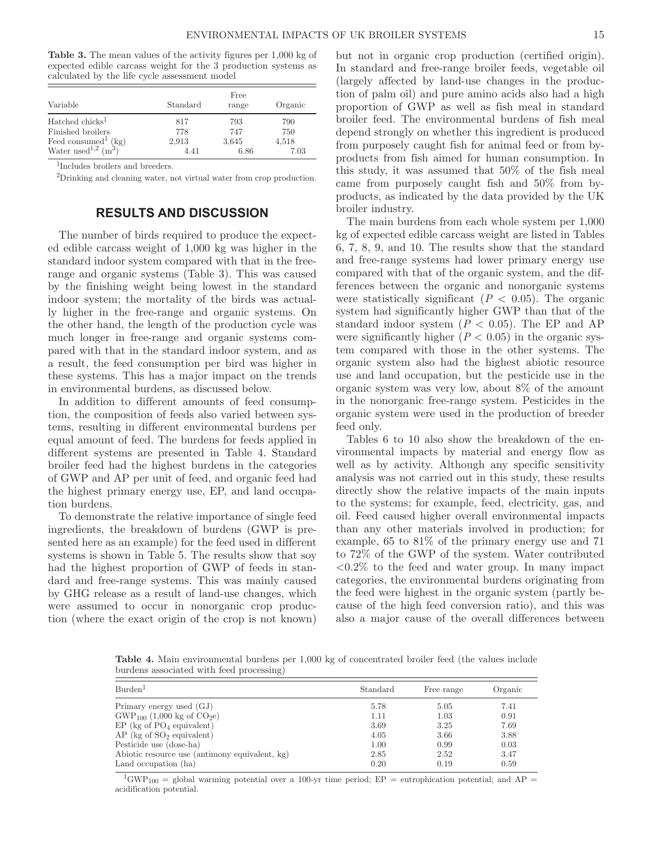**Table 3.** The mean values of the activity figures per 1,000 kg of expected edible carcass weight for the 3 production systems as calculated by the life cycle assessment model

| Variable                                                                       | Standard | Free<br>range | Organic |
|--------------------------------------------------------------------------------|----------|---------------|---------|
| Hatched chicks <sup>1</sup>                                                    | 817      | 793           | 790     |
| Finished broilers                                                              | 778      | 747           | 750     |
|                                                                                | 2,913    | 3,645         | 4,518   |
| Feed consumed <sup>1</sup> (kg)<br>Water used <sup>1,2</sup> (m <sup>3</sup> ) | 4.41     | 6.86          | 7.03    |

<sup>1</sup>Includes broilers and breeders.

2Drinking and cleaning water, not virtual water from crop production.

## **RESULTS AND DISCUSSION**

The number of birds required to produce the expected edible carcass weight of 1,000 kg was higher in the standard indoor system compared with that in the freerange and organic systems (Table 3). This was caused by the finishing weight being lowest in the standard indoor system; the mortality of the birds was actually higher in the free-range and organic systems. On the other hand, the length of the production cycle was much longer in free-range and organic systems compared with that in the standard indoor system, and as a result, the feed consumption per bird was higher in these systems. This has a major impact on the trends in environmental burdens, as discussed below.

In addition to different amounts of feed consumption, the composition of feeds also varied between systems, resulting in different environmental burdens per equal amount of feed. The burdens for feeds applied in different systems are presented in Table 4. Standard broiler feed had the highest burdens in the categories of GWP and AP per unit of feed, and organic feed had the highest primary energy use, EP, and land occupation burdens.

To demonstrate the relative importance of single feed ingredients, the breakdown of burdens (GWP is presented here as an example) for the feed used in different systems is shown in Table 5. The results show that soy had the highest proportion of GWP of feeds in standard and free-range systems. This was mainly caused by GHG release as a result of land-use changes, which were assumed to occur in nonorganic crop production (where the exact origin of the crop is not known) but not in organic crop production (certified origin). In standard and free-range broiler feeds, vegetable oil (largely affected by land-use changes in the production of palm oil) and pure amino acids also had a high proportion of GWP as well as fish meal in standard broiler feed. The environmental burdens of fish meal depend strongly on whether this ingredient is produced from purposely caught fish for animal feed or from byproducts from fish aimed for human consumption. In this study, it was assumed that 50% of the fish meal came from purposely caught fish and 50% from byproducts, as indicated by the data provided by the UK broiler industry.

The main burdens from each whole system per 1,000 kg of expected edible carcass weight are listed in Tables 6, 7, 8, 9, and 10. The results show that the standard and free-range systems had lower primary energy use compared with that of the organic system, and the differences between the organic and nonorganic systems were statistically significant  $(P < 0.05)$ . The organic system had significantly higher GWP than that of the standard indoor system  $(P < 0.05)$ . The EP and AP were significantly higher  $(P < 0.05)$  in the organic system compared with those in the other systems. The organic system also had the highest abiotic resource use and land occupation, but the pesticide use in the organic system was very low, about 8% of the amount in the nonorganic free-range system. Pesticides in the organic system were used in the production of breeder feed only.

Tables 6 to 10 also show the breakdown of the environmental impacts by material and energy flow as well as by activity. Although any specific sensitivity analysis was not carried out in this study, these results directly show the relative impacts of the main inputs to the systems; for example, feed, electricity, gas, and oil. Feed caused higher overall environmental impacts than any other materials involved in production; for example, 65 to 81% of the primary energy use and 71 to 72% of the GWP of the system. Water contributed  $\langle 0.2\%$  to the feed and water group. In many impact categories, the environmental burdens originating from the feed were highest in the organic system (partly because of the high feed conversion ratio), and this was also a major cause of the overall differences between

**Table 4.** Main environmental burdens per 1,000 kg of concentrated broiler feed (the values include burdens associated with feed processing)

| Burden <sup>1</sup>                            | Standard | Free range | Organic |
|------------------------------------------------|----------|------------|---------|
| Primary energy used (GJ)                       | 5.78     | 5.05       | 7.41    |
| $GWP_{100}$ (1,000 kg of CO <sub>2</sub> e)    | 1.11     | 1.03       | 0.91    |
| $EP$ (kg of $PO4$ equivalent)                  | 3.69     | 3.25       | 7.69    |
| $AP$ (kg of $SO2$ equivalent)                  | 4.05     | 3.66       | 3.88    |
| Pesticide use (dose-ha)                        | 1.00     | 0.99       | 0.03    |
| Abiotic resource use (antimony equivalent, kg) | 2.85     | 2.52       | 3.47    |
| Land occupation (ha)                           | 0.20     | 0.19       | 0.59    |

 ${}^{1}$ GWP<sub>100</sub> = global warming potential over a 100-yr time period; EP = eutrophication potential; and AP = acidification potential.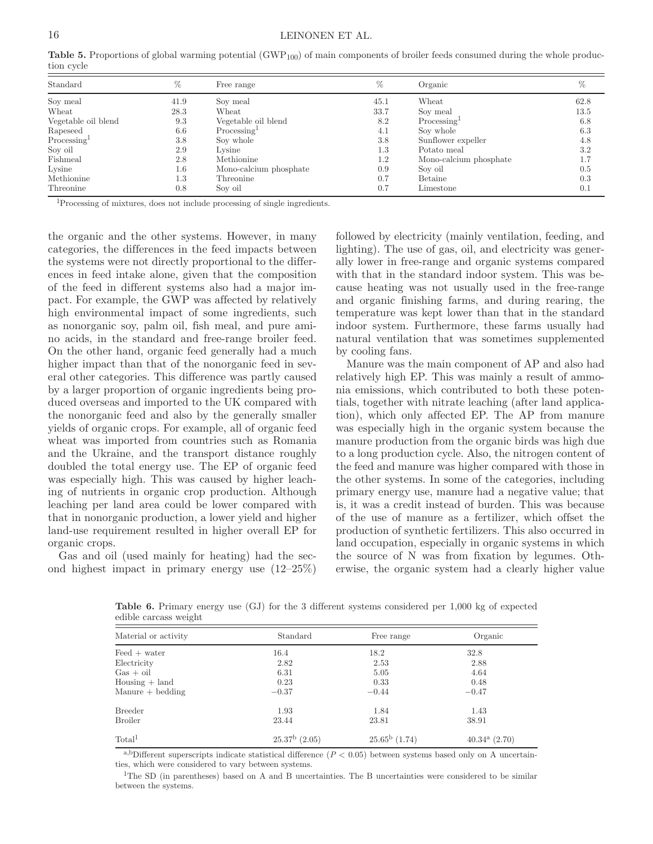| Standard              | $\%$    | Free range             | %       | Organic                | %    |
|-----------------------|---------|------------------------|---------|------------------------|------|
| Soy meal              | 41.9    | Sov meal               | 45.1    | Wheat                  | 62.8 |
| Wheat                 | 28.3    | Wheat                  | 33.7    | Sov meal               | 13.5 |
| Vegetable oil blend   | 9.3     | Vegetable oil blend    | 8.2     | $\text{Processing}^1$  | 6.8  |
| Rapeseed              | 6.6     | $\text{Processing}^1$  | 4.1     | Soy whole              | 6.3  |
| $\text{Processing}^1$ | 3.8     | Soy whole              | 3.8     | Sunflower expeller     | 4.8  |
| Sov oil               | 2.9     | Lysine                 | 1.3     | Potato meal            | 3.2  |
| Fishmeal              | 2.8     | Methionine             | $1.2\,$ | Mono-calcium phosphate | 1.7  |
| Lysine                | $1.6\,$ | Mono-calcium phosphate | 0.9     | Sov oil                | 0.5  |
| Methionine            | 1.3     | Threonine              | 0.7     | Betaine                | 0.3  |
| Threonine             | 0.8     | Sov oil                | 0.7     | Limestone              | 0.1  |

**Table 5.** Proportions of global warming potential (GWP<sub>100</sub>) of main components of broiler feeds consumed during the whole production cycle

1Processing of mixtures, does not include processing of single ingredients.

the organic and the other systems. However, in many categories, the differences in the feed impacts between the systems were not directly proportional to the differences in feed intake alone, given that the composition of the feed in different systems also had a major impact. For example, the GWP was affected by relatively high environmental impact of some ingredients, such as nonorganic soy, palm oil, fish meal, and pure amino acids, in the standard and free-range broiler feed. On the other hand, organic feed generally had a much higher impact than that of the nonorganic feed in several other categories. This difference was partly caused by a larger proportion of organic ingredients being produced overseas and imported to the UK compared with the nonorganic feed and also by the generally smaller yields of organic crops. For example, all of organic feed wheat was imported from countries such as Romania and the Ukraine, and the transport distance roughly doubled the total energy use. The EP of organic feed was especially high. This was caused by higher leaching of nutrients in organic crop production. Although leaching per land area could be lower compared with that in nonorganic production, a lower yield and higher land-use requirement resulted in higher overall EP for organic crops.

Gas and oil (used mainly for heating) had the second highest impact in primary energy use (12–25%)

followed by electricity (mainly ventilation, feeding, and lighting). The use of gas, oil, and electricity was generally lower in free-range and organic systems compared with that in the standard indoor system. This was because heating was not usually used in the free-range and organic finishing farms, and during rearing, the temperature was kept lower than that in the standard indoor system. Furthermore, these farms usually had natural ventilation that was sometimes supplemented by cooling fans.

Manure was the main component of AP and also had relatively high EP. This was mainly a result of ammonia emissions, which contributed to both these potentials, together with nitrate leaching (after land application), which only affected EP. The AP from manure was especially high in the organic system because the manure production from the organic birds was high due to a long production cycle. Also, the nitrogen content of the feed and manure was higher compared with those in the other systems. In some of the categories, including primary energy use, manure had a negative value; that is, it was a credit instead of burden. This was because of the use of manure as a fertilizer, which offset the production of synthetic fertilizers. This also occurred in land occupation, especially in organic systems in which the source of N was from fixation by legumes. Otherwise, the organic system had a clearly higher value

| Material or activity            | Standard         | Free range             | Organic                       |
|---------------------------------|------------------|------------------------|-------------------------------|
| $\text{Feed} + \text{water}$    | 16.4             | 18.2                   | 32.8                          |
| Electricity                     | 2.82             | 2.53                   | 2.88                          |
| $Gas + oil$                     | 6.31             | 5.05                   | 4.64                          |
| $H \text{ousing} + \text{land}$ | 0.23             | 0.33                   | 0.48                          |
| $M$ anure + bedding             | $-0.37$          | $-0.44$                | $-0.47$                       |
| Breeder                         | 1.93             | 1.84                   | 1.43                          |
| <b>Broiler</b>                  | 23.44            | 23.81                  | 38.91                         |
| Total <sup>1</sup>              | $25.37^b$ (2.05) | $25.65^{\rm b}$ (1.74) | $40.34$ <sup>a</sup> $(2.70)$ |

**Table 6.** Primary energy use (GJ) for the 3 different systems considered per 1,000 kg of expected edible carcass weight

a,bDifferent superscripts indicate statistical difference  $(P < 0.05)$  between systems based only on A uncertainties, which were considered to vary between systems.

1The SD (in parentheses) based on A and B uncertainties. The B uncertainties were considered to be similar between the systems.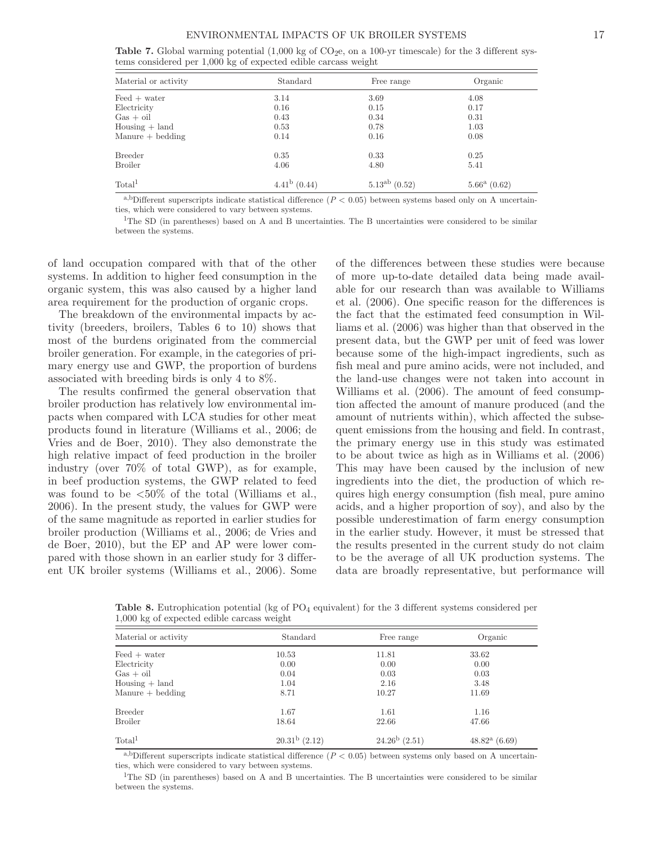#### ENVIRONMENTAL IMPACTS OF UK BROILER SYSTEMS 17

**Table 7.** Global warming potential  $(1,000 \text{ kg of CO}_2\text{e})$ , on a 100-yr timescale) for the 3 different systems considered per 1,000 kg of expected edible carcass weight

| Material or activity            | Standard       | Free range           | Organic                 |
|---------------------------------|----------------|----------------------|-------------------------|
| $\text{Feed} + \text{water}$    | 3.14           | 3.69                 | 4.08                    |
| Electricity                     | 0.16           | 0.15                 | 0.17                    |
| $Gas + oil$                     | 0.43           | 0.34                 | 0.31                    |
| $H \text{ousing} + \text{land}$ | 0.53           | 0.78                 | 1.03                    |
| $M$ anure + bedding             | 0.14           | 0.16                 | 0.08                    |
| <b>Breeder</b>                  | 0.35           | 0.33                 | 0.25                    |
| <b>Broiler</b>                  | 4.06           | 4.80                 | 5.41                    |
| Total <sup>1</sup>              | $4.41b$ (0.44) | $5.13^{ab}$ $(0.52)$ | $5.66^{\rm a}$ $(0.62)$ |

a,bDifferent superscripts indicate statistical difference  $(P < 0.05)$  between systems based only on A uncertainties, which were considered to vary between systems.

<sup>1</sup>The SD (in parentheses) based on A and B uncertainties. The B uncertainties were considered to be similar between the systems.

of land occupation compared with that of the other systems. In addition to higher feed consumption in the organic system, this was also caused by a higher land area requirement for the production of organic crops.

The breakdown of the environmental impacts by activity (breeders, broilers, Tables 6 to 10) shows that most of the burdens originated from the commercial broiler generation. For example, in the categories of primary energy use and GWP, the proportion of burdens associated with breeding birds is only 4 to 8%.

The results confirmed the general observation that broiler production has relatively low environmental impacts when compared with LCA studies for other meat products found in literature (Williams et al., 2006; de Vries and de Boer, 2010). They also demonstrate the high relative impact of feed production in the broiler industry (over 70% of total GWP), as for example, in beef production systems, the GWP related to feed was found to be  $\langle 50\% \rangle$  of the total (Williams et al., 2006). In the present study, the values for GWP were of the same magnitude as reported in earlier studies for broiler production (Williams et al., 2006; de Vries and de Boer, 2010), but the EP and AP were lower compared with those shown in an earlier study for 3 different UK broiler systems (Williams et al., 2006). Some of the differences between these studies were because of more up-to-date detailed data being made available for our research than was available to Williams et al. (2006). One specific reason for the differences is the fact that the estimated feed consumption in Williams et al. (2006) was higher than that observed in the present data, but the GWP per unit of feed was lower because some of the high-impact ingredients, such as fish meal and pure amino acids, were not included, and the land-use changes were not taken into account in Williams et al. (2006). The amount of feed consumption affected the amount of manure produced (and the amount of nutrients within), which affected the subsequent emissions from the housing and field. In contrast, the primary energy use in this study was estimated to be about twice as high as in Williams et al. (2006) This may have been caused by the inclusion of new ingredients into the diet, the production of which requires high energy consumption (fish meal, pure amino acids, and a higher proportion of soy), and also by the possible underestimation of farm energy consumption in the earlier study. However, it must be stressed that the results presented in the current study do not claim to be the average of all UK production systems. The data are broadly representative, but performance will

| $\cdot$                         | $\cdot$ $\cdot$  |                  |                        |
|---------------------------------|------------------|------------------|------------------------|
| Material or activity            | Standard         | Free range       | Organic                |
| $\text{Feed} + \text{water}$    | 10.53            | 11.81            | 33.62                  |
| Electricity                     | 0.00             | 0.00             | 0.00                   |
| $Gas + oil$                     | 0.04             | 0.03             | 0.03                   |
| $H \text{ousing} + \text{land}$ | 1.04             | 2.16             | 3.48                   |
| $M$ anure + bedding             | 8.71             | 10.27            | 11.69                  |
| <b>Breeder</b>                  | 1.67             | 1.61             | 1.16                   |
| <b>Broiler</b>                  | 18.64            | 22.66            | 47.66                  |
| Total <sup>1</sup>              | $20.31^b$ (2.12) | $24.26^b$ (2.51) | $48.82^{\rm a}$ (6.69) |

**Table 8.** Eutrophication potential (kg of PO<sub>4</sub> equivalent) for the 3 different systems considered per 1,000 kg of expected edible carcass weight

a,b<sub>D</sub>ifferent superscripts indicate statistical difference ( $P < 0.05$ ) between systems only based on A uncertainties, which were considered to vary between systems.

<sup>1</sup>The SD (in parentheses) based on A and B uncertainties. The B uncertainties were considered to be similar between the systems.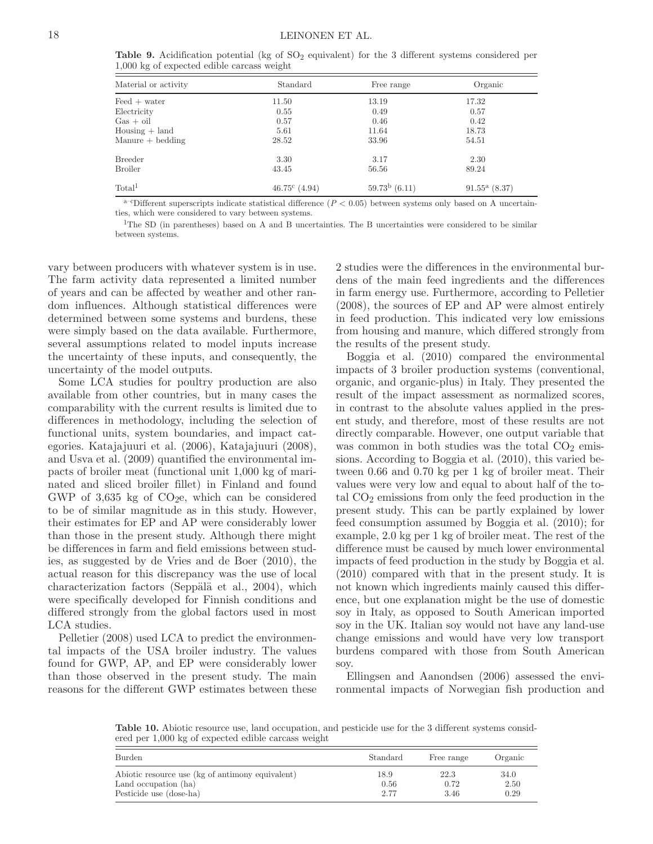**Table 9.** Acidification potential (kg of  $SO_2$  equivalent) for the 3 different systems considered per 1,000 kg of expected edible carcass weight

| Standard               | Free range       | Organic                     |  |
|------------------------|------------------|-----------------------------|--|
| 11.50                  | 13.19            | 17.32                       |  |
| 0.55                   | 0.49             | 0.57                        |  |
| 0.57                   | 0.46             | 0.42                        |  |
| 5.61                   | 11.64            | 18.73                       |  |
| 28.52                  | 33.96            | 54.51                       |  |
| 3.30                   | 3.17             | 2.30                        |  |
| 43.45                  | 56.56            | 89.24                       |  |
| $46.75^{\circ}$ (4.94) | $59.73^b$ (6.11) | $91.55^{\mathrm{a}}$ (8.37) |  |
|                        |                  |                             |  |

 $a$ <sup>-c</sup>Different superscripts indicate statistical difference ( $P < 0.05$ ) between systems only based on A uncertainties, which were considered to vary between systems.

<sup>1</sup>The SD (in parentheses) based on A and B uncertainties. The B uncertainties were considered to be similar between systems.

vary between producers with whatever system is in use. The farm activity data represented a limited number of years and can be affected by weather and other random influences. Although statistical differences were determined between some systems and burdens, these were simply based on the data available. Furthermore, several assumptions related to model inputs increase the uncertainty of these inputs, and consequently, the uncertainty of the model outputs.

Some LCA studies for poultry production are also available from other countries, but in many cases the comparability with the current results is limited due to differences in methodology, including the selection of functional units, system boundaries, and impact categories. Katajajuuri et al. (2006), Katajajuuri (2008), and Usva et al. (2009) quantified the environmental impacts of broiler meat (functional unit 1,000 kg of marinated and sliced broiler fillet) in Finland and found GWP of  $3,635$  kg of CO<sub>2</sub>e, which can be considered to be of similar magnitude as in this study. However, their estimates for EP and AP were considerably lower than those in the present study. Although there might be differences in farm and field emissions between studies, as suggested by de Vries and de Boer (2010), the actual reason for this discrepancy was the use of local characterization factors (Seppälä et al., 2004), which were specifically developed for Finnish conditions and differed strongly from the global factors used in most LCA studies.

Pelletier (2008) used LCA to predict the environmental impacts of the USA broiler industry. The values found for GWP, AP, and EP were considerably lower than those observed in the present study. The main reasons for the different GWP estimates between these 2 studies were the differences in the environmental burdens of the main feed ingredients and the differences in farm energy use. Furthermore, according to Pelletier (2008), the sources of EP and AP were almost entirely in feed production. This indicated very low emissions from housing and manure, which differed strongly from the results of the present study.

Boggia et al. (2010) compared the environmental impacts of 3 broiler production systems (conventional, organic, and organic-plus) in Italy. They presented the result of the impact assessment as normalized scores, in contrast to the absolute values applied in the present study, and therefore, most of these results are not directly comparable. However, one output variable that was common in both studies was the total  $CO<sub>2</sub>$  emissions. According to Boggia et al. (2010), this varied between 0.66 and 0.70 kg per 1 kg of broiler meat. Their values were very low and equal to about half of the total  $CO<sub>2</sub>$  emissions from only the feed production in the present study. This can be partly explained by lower feed consumption assumed by Boggia et al. (2010); for example, 2.0 kg per 1 kg of broiler meat. The rest of the difference must be caused by much lower environmental impacts of feed production in the study by Boggia et al. (2010) compared with that in the present study. It is not known which ingredients mainly caused this difference, but one explanation might be the use of domestic soy in Italy, as opposed to South American imported soy in the UK. Italian soy would not have any land-use change emissions and would have very low transport burdens compared with those from South American soy.

Ellingsen and Aanondsen (2006) assessed the environmental impacts of Norwegian fish production and

**Table 10.** Abiotic resource use, land occupation, and pesticide use for the 3 different systems considered per 1,000 kg of expected edible carcass weight

| Burden                                           | Standard | Free range | Organic |
|--------------------------------------------------|----------|------------|---------|
| Abiotic resource use (kg of antimony equivalent) | 18.9     | 22.3       | 34.0    |
| Land occupation (ha)                             | 0.56     | 0.72       | 2.50    |
| Pesticide use (dose-ha)                          | 2.77     | 3.46       | 0.29    |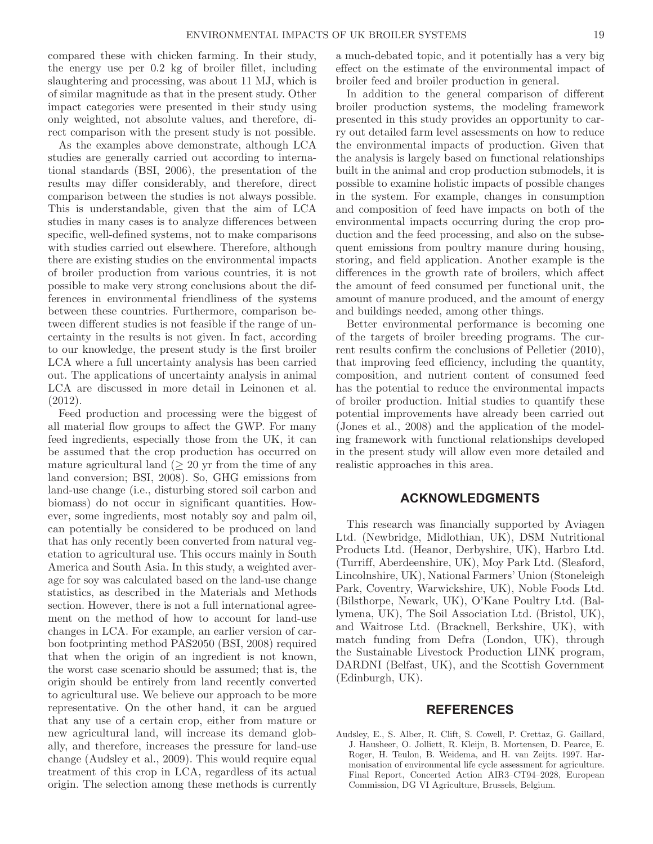compared these with chicken farming. In their study, the energy use per 0.2 kg of broiler fillet, including slaughtering and processing, was about 11 MJ, which is of similar magnitude as that in the present study. Other impact categories were presented in their study using only weighted, not absolute values, and therefore, direct comparison with the present study is not possible.

As the examples above demonstrate, although LCA studies are generally carried out according to international standards (BSI, 2006), the presentation of the results may differ considerably, and therefore, direct comparison between the studies is not always possible. This is understandable, given that the aim of LCA studies in many cases is to analyze differences between specific, well-defined systems, not to make comparisons with studies carried out elsewhere. Therefore, although there are existing studies on the environmental impacts of broiler production from various countries, it is not possible to make very strong conclusions about the differences in environmental friendliness of the systems between these countries. Furthermore, comparison between different studies is not feasible if the range of uncertainty in the results is not given. In fact, according to our knowledge, the present study is the first broiler LCA where a full uncertainty analysis has been carried out. The applications of uncertainty analysis in animal LCA are discussed in more detail in Leinonen et al. (2012).

Feed production and processing were the biggest of all material flow groups to affect the GWP. For many feed ingredients, especially those from the UK, it can be assumed that the crop production has occurred on mature agricultural land  $(≥ 20 \text{ yr from the time of any})$ land conversion; BSI, 2008). So, GHG emissions from land-use change (i.e., disturbing stored soil carbon and biomass) do not occur in significant quantities. However, some ingredients, most notably soy and palm oil, can potentially be considered to be produced on land that has only recently been converted from natural vegetation to agricultural use. This occurs mainly in South America and South Asia. In this study, a weighted average for soy was calculated based on the land-use change statistics, as described in the Materials and Methods section. However, there is not a full international agreement on the method of how to account for land-use changes in LCA. For example, an earlier version of carbon footprinting method PAS2050 (BSI, 2008) required that when the origin of an ingredient is not known, the worst case scenario should be assumed; that is, the origin should be entirely from land recently converted to agricultural use. We believe our approach to be more representative. On the other hand, it can be argued that any use of a certain crop, either from mature or new agricultural land, will increase its demand globally, and therefore, increases the pressure for land-use change (Audsley et al., 2009). This would require equal treatment of this crop in LCA, regardless of its actual origin. The selection among these methods is currently a much-debated topic, and it potentially has a very big effect on the estimate of the environmental impact of broiler feed and broiler production in general.

In addition to the general comparison of different broiler production systems, the modeling framework presented in this study provides an opportunity to carry out detailed farm level assessments on how to reduce the environmental impacts of production. Given that the analysis is largely based on functional relationships built in the animal and crop production submodels, it is possible to examine holistic impacts of possible changes in the system. For example, changes in consumption and composition of feed have impacts on both of the environmental impacts occurring during the crop production and the feed processing, and also on the subsequent emissions from poultry manure during housing, storing, and field application. Another example is the differences in the growth rate of broilers, which affect the amount of feed consumed per functional unit, the amount of manure produced, and the amount of energy and buildings needed, among other things.

Better environmental performance is becoming one of the targets of broiler breeding programs. The current results confirm the conclusions of Pelletier (2010), that improving feed efficiency, including the quantity, composition, and nutrient content of consumed feed has the potential to reduce the environmental impacts of broiler production. Initial studies to quantify these potential improvements have already been carried out (Jones et al., 2008) and the application of the modeling framework with functional relationships developed in the present study will allow even more detailed and realistic approaches in this area.

#### **ACKNOWLEDGMENTS**

This research was financially supported by Aviagen Ltd. (Newbridge, Midlothian, UK), DSM Nutritional Products Ltd. (Heanor, Derbyshire, UK), Harbro Ltd. (Turriff, Aberdeenshire, UK), Moy Park Ltd. (Sleaford, Lincolnshire, UK), National Farmers' Union (Stoneleigh Park, Coventry, Warwickshire, UK), Noble Foods Ltd. (Bilsthorpe, Newark, UK), O'Kane Poultry Ltd. (Ballymena, UK), The Soil Association Ltd. (Bristol, UK), and Waitrose Ltd. (Bracknell, Berkshire, UK), with match funding from Defra (London, UK), through the Sustainable Livestock Production LINK program, DARDNI (Belfast, UK), and the Scottish Government (Edinburgh, UK).

#### **REFERENCES**

Audsley, E., S. Alber, R. Clift, S. Cowell, P. Crettaz, G. Gaillard, J. Hausheer, O. Jolliett, R. Kleijn, B. Mortensen, D. Pearce, E. Roger, H. Teulon, B. Weidema, and H. van Zeijts. 1997. Harmonisation of environmental life cycle assessment for agriculture. Final Report, Concerted Action AIR3–CT94–2028, European Commission, DG VI Agriculture, Brussels, Belgium.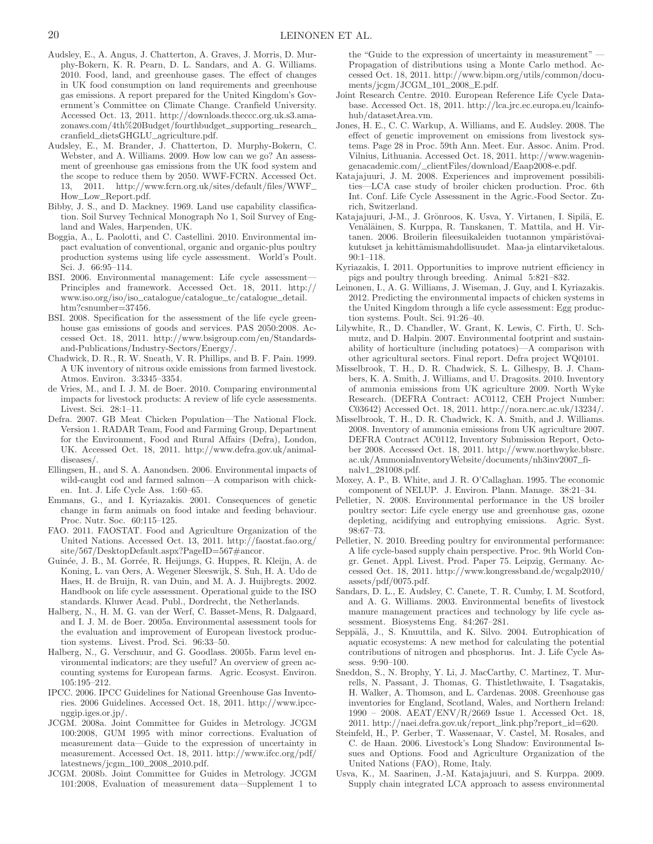- Audsley, E., A. Angus, J. Chatterton, A. Graves, J. Morris, D. Murphy-Bokern, K. R. Pearn, D. L. Sandars, and A. G. Williams. 2010. Food, land, and greenhouse gases. The effect of changes in UK food consumption on land requirements and greenhouse gas emissions. A report prepared for the United Kingdom's Government's Committee on Climate Change. Cranfield University. Accessed Oct. 13, 2011. http://downloads.theccc.org.uk.s3.amazonaws.com/4th%20Budget/fourthbudget\_supporting\_research\_ cranfield\_dietsGHGLU\_agriculture.pdf.
- Audsley, E., M. Brander, J. Chatterton, D. Murphy-Bokern, C. Webster, and A. Williams. 2009. How low can we go? An assessment of greenhouse gas emissions from the UK food system and the scope to reduce them by 2050. WWF-FCRN. Accessed Oct. 13, 2011. http://www.fcrn.org.uk/sites/default/files/WWF\_ How\_Low\_Report.pdf.
- Bibby, J. S., and D. Mackney. 1969. Land use capability classification. Soil Survey Technical Monograph No 1, Soil Survey of England and Wales, Harpenden, UK.
- Boggia, A., L. Paolotti, and C. Castellini. 2010. Environmental impact evaluation of conventional, organic and organic-plus poultry production systems using life cycle assessment. World's Poult. Sci. J. 66:95–114.
- BSI. 2006. Environmental management: Life cycle assessment— Principles and framework. Accessed Oct. 18, 2011. http:// www.iso.org/iso/iso\_catalogue/catalogue\_tc/catalogue\_detail. htm?csnumber=37456.
- BSI. 2008. Specification for the assessment of the life cycle greenhouse gas emissions of goods and services. PAS 2050:2008. Accessed Oct. 18, 2011. http://www.bsigroup.com/en/Standardsand-Publications/Industry-Sectors/Energy/.
- Chadwick, D. R., R. W. Sneath, V. R. Phillips, and B. F. Pain. 1999. A UK inventory of nitrous oxide emissions from farmed livestock. Atmos. Environ. 3:3345–3354.
- de Vries, M., and I. J. M. de Boer. 2010. Comparing environmental impacts for livestock products: A review of life cycle assessments. Livest. Sci. 28:1–11.
- Defra. 2007. GB Meat Chicken Population—The National Flock. Version 1. RADAR Team, Food and Farming Group, Department for the Environment, Food and Rural Affairs (Defra), London, UK. Accessed Oct. 18, 2011. http://www.defra.gov.uk/animaldiseases/.
- Ellingsen, H., and S. A. Aanondsen. 2006. Environmental impacts of wild-caught cod and farmed salmon—A comparison with chicken. Int. J. Life Cycle Ass. 1:60–65.
- Emmans, G., and I. Kyriazakis. 2001. Consequences of genetic change in farm animals on food intake and feeding behaviour. Proc. Nutr. Soc. 60:115–125.
- FAO. 2011. FAOSTAT. Food and Agriculture Organization of the United Nations. Accessed Oct. 13, 2011. http://faostat.fao.org/ site/567/DesktopDefault.aspx?PageID=567#ancor.
- Guinée, J. B., M. Gorrée, R. Heijungs, G. Huppes, R. Kleijn, A. de Koning, L. van Oers, A. Wegener Sleeswijk, S. Suh, H. A. Udo de Haes, H. de Bruijn, R. van Duin, and M. A. J. Huijbregts. 2002. Handbook on life cycle assessment. Operational guide to the ISO standards. Kluwer Acad. Publ., Dordrecht, the Netherlands.
- Halberg, N., H. M. G. van der Werf, C. Basset-Mens, R. Dalgaard, and I. J. M. de Boer. 2005a. Environmental assessment tools for the evaluation and improvement of European livestock production systems. Livest. Prod. Sci. 96:33–50.
- Halberg, N., G. Verschuur, and G. Goodlass. 2005b. Farm level environmental indicators; are they useful? An overview of green accounting systems for European farms. Agric. Ecosyst. Environ. 105:195–212.
- IPCC. 2006. IPCC Guidelines for National Greenhouse Gas Inventories. 2006 Guidelines. Accessed Oct. 18, 2011. http://www.ipccnggip.iges.or.jp/.
- JCGM. 2008a. Joint Committee for Guides in Metrology. JCGM 100:2008, GUM 1995 with minor corrections. Evaluation of measurement data—Guide to the expression of uncertainty in measurement. Accessed Oct. 18, 2011. http://www.ifcc.org/pdf/ latestnews/jcgm\_100\_2008\_2010.pdf.
- JCGM. 2008b. Joint Committee for Guides in Metrology. JCGM 101:2008, Evaluation of measurement data—Supplement 1 to

the "Guide to the expression of uncertainty in measurement" Propagation of distributions using a Monte Carlo method. Accessed Oct. 18, 2011. http://www.bipm.org/utils/common/documents/jcgm/JCGM\_101\_2008\_E.pdf.

- Joint Research Centre. 2010. European Reference Life Cycle Database. Accessed Oct. 18, 2011. http://lca.jrc.ec.europa.eu/lcainfohub/datasetArea.vm.
- Jones, H. E., C. C. Warkup, A. Williams, and E. Audsley. 2008. The effect of genetic improvement on emissions from livestock systems. Page 28 in Proc. 59th Ann. Meet. Eur. Assoc. Anim. Prod. Vilnius, Lithuania. Accessed Oct. 18, 2011. http://www.wageningenacademic.com/\_clientFiles/download/Eaap2008-e.pdf.
- Katajajuuri, J. M. 2008. Experiences and improvement possibilities—LCA case study of broiler chicken production. Proc. 6th Int. Conf. Life Cycle Assessment in the Agric.-Food Sector. Zurich, Switzerland.
- Katajajuuri, J-M., J. Grönroos, K. Usva, Y. Virtanen, I. Sipilä, E. Venäläinen, S. Kurppa, R. Tanskanen, T. Mattila, and H. Virtanen. 2006. Broilerin fileesuikaleiden tuotannon ympäristövaikutukset ja kehittämismahdollisuudet. Maa-ja elintarviketalous. 90:1–118.
- Kyriazakis, I. 2011. Opportunities to improve nutrient efficiency in pigs and poultry through breeding. Animal 5:821–832.
- Leinonen, I., A. G. Williams, J. Wiseman, J. Guy, and I. Kyriazakis. 2012. Predicting the environmental impacts of chicken systems in the United Kingdom through a life cycle assessment: Egg production systems. Poult. Sci. 91:26–40.
- Lilywhite, R., D. Chandler, W. Grant, K. Lewis, C. Firth, U. Schmutz, and D. Halpin. 2007. Environmental footprint and sustainability of horticulture (including potatoes)—A comparison with other agricultural sectors. Final report. Defra project WQ0101.
- Misselbrook, T. H., D. R. Chadwick, S. L. Gilhespy, B. J. Chambers, K. A. Smith, J. Williams, and U. Dragosits. 2010. Inventory of ammonia emissions from UK agriculture 2009. North Wyke Research. (DEFRA Contract: AC0112, CEH Project Number: C03642) Accessed Oct. 18, 2011. http://nora.nerc.ac.uk/13234/.
- Misselbrook, T. H., D. R. Chadwick, K. A. Smith, and J. Williams. 2008. Inventory of ammonia emissions from UK agriculture 2007. DEFRA Contract AC0112, Inventory Submission Report, October 2008. Accessed Oct. 18, 2011. http://www.northwyke.bbsrc. ac.uk/AmmoniaInventoryWebsite/documents/nh3inv2007\_finalv1\_281008.pdf.
- Moxey, A. P., B. White, and J. R. O'Callaghan. 1995. The economic component of NELUP. J. Environ. Plann. Manage. 38:21–34.
- Pelletier, N. 2008. Environmental performance in the US broiler poultry sector: Life cycle energy use and greenhouse gas, ozone depleting, acidifying and eutrophying emissions. Agric. Syst. 98:67–73.
- Pelletier, N. 2010. Breeding poultry for environmental performance: A life cycle-based supply chain perspective. Proc. 9th World Congr. Genet. Appl. Livest. Prod. Paper 75. Leipzig, Germany. Accessed Oct. 18, 2011. http://www.kongressband.de/wcgalp2010/ assets/pdf/0075.pdf.
- Sandars, D. L., E. Audsley, C. Canete, T. R. Cumby, I. M. Scotford, and A. G. Williams. 2003. Environmental benefits of livestock manure management practices and technology by life cycle assessment. Biosystems Eng. 84:267–281.
- Seppälä, J., S. Knuuttila, and K. Silvo. 2004. Eutrophication of aquatic ecosystems: A new method for calculating the potential contributions of nitrogen and phosphorus. Int. J. Life Cycle Assess. 9:90–100.
- Sneddon, S., N. Brophy, Y. Li, J. MacCarthy, C. Martinez, T. Murrells, N. Passant, J. Thomas, G. Thistlethwaite, I. Tsagatakis, H. Walker, A. Thomson, and L. Cardenas. 2008. Greenhouse gas inventories for England, Scotland, Wales, and Northern Ireland: 1990 – 2008. AEAT/ENV/R/2669 Issue 1. Accessed Oct. 18, 2011. http://naei.defra.gov.uk/report\_link.php?report\_id=620.
- Steinfeld, H., P. Gerber, T. Wassenaar, V. Castel, M. Rosales, and C. de Haan. 2006. Livestock's Long Shadow: Environmental Issues and Options. Food and Agriculture Organization of the United Nations (FAO), Rome, Italy.
- Usva, K., M. Saarinen, J.-M. Katajajuuri, and S. Kurppa. 2009. Supply chain integrated LCA approach to assess environmental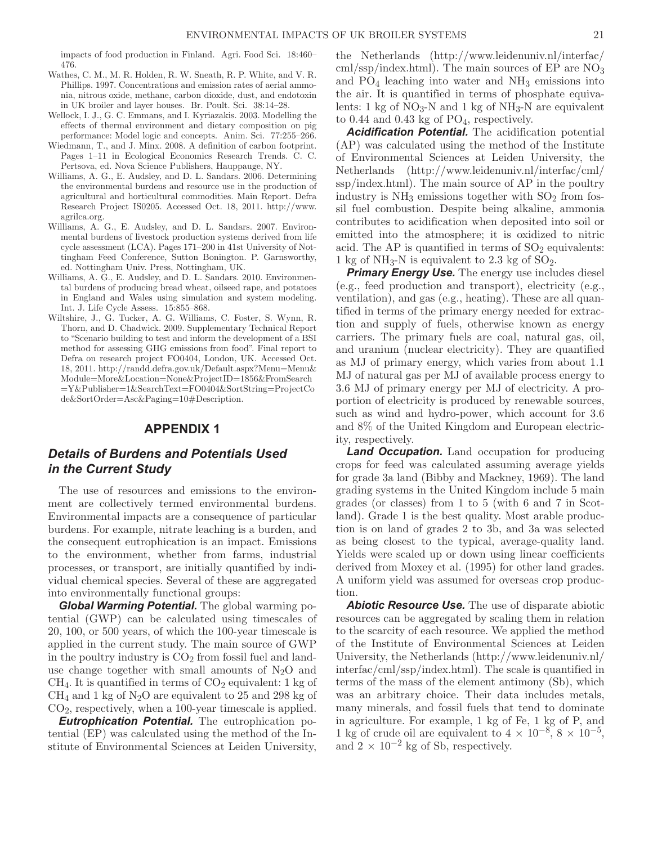impacts of food production in Finland. Agri. Food Sci. 18:460– 476.

- Wathes, C. M., M. R. Holden, R. W. Sneath, R. P. White, and V. R. Phillips. 1997. Concentrations and emission rates of aerial ammonia, nitrous oxide, methane, carbon dioxide, dust, and endotoxin in UK broiler and layer houses. Br. Poult. Sci. 38:14–28.
- Wellock, I. J., G. C. Emmans, and I. Kyriazakis. 2003. Modelling the effects of thermal environment and dietary composition on pig performance: Model logic and concepts. Anim. Sci. 77:255–266.
- Wiedmann, T., and J. Minx. 2008. A definition of carbon footprint. Pages 1–11 in Ecological Economics Research Trends. C. C. Pertsova, ed. Nova Science Publishers, Hauppauge, NY.
- Williams, A. G., E. Audsley, and D. L. Sandars. 2006. Determining the environmental burdens and resource use in the production of agricultural and horticultural commodities. Main Report. Defra Research Project IS0205. Accessed Oct. 18, 2011. http://www. agrilca.org.
- Williams, A. G., E. Audsley, and D. L. Sandars. 2007. Environmental burdens of livestock production systems derived from life cycle assessment (LCA). Pages 171–200 in 41st University of Nottingham Feed Conference, Sutton Bonington. P. Garnsworthy, ed. Nottingham Univ. Press, Nottingham, UK.
- Williams, A. G., E. Audsley, and D. L. Sandars. 2010. Environmental burdens of producing bread wheat, oilseed rape, and potatoes in England and Wales using simulation and system modeling. Int. J. Life Cycle Assess. 15:855–868.
- Wiltshire, J., G. Tucker, A. G. Williams, C. Foster, S. Wynn, R. Thorn, and D. Chadwick. 2009. Supplementary Technical Report to "Scenario building to test and inform the development of a BSI method for assessing GHG emissions from food". Final report to Defra on research project FO0404, London, UK. Accessed Oct. 18, 2011. http://randd.defra.gov.uk/Default.aspx?Menu=Menu& Module=More&Location=None&ProjectID=1856&FromSearch =Y&Publisher=1&SearchText=FO0404&SortString=ProjectCo de&SortOrder=Asc&Paging=10#Description.

## **APPENDIX 1**

## *Details of Burdens and Potentials Used in the Current Study*

The use of resources and emissions to the environment are collectively termed environmental burdens. Environmental impacts are a consequence of particular burdens. For example, nitrate leaching is a burden, and the consequent eutrophication is an impact. Emissions to the environment, whether from farms, industrial processes, or transport, are initially quantified by individual chemical species. Several of these are aggregated into environmentally functional groups:

*Global Warming Potential.* The global warming potential (GWP) can be calculated using timescales of 20, 100, or 500 years, of which the 100-year timescale is applied in the current study. The main source of GWP in the poultry industry is  $CO<sub>2</sub>$  from fossil fuel and landuse change together with small amounts of  $N_2O$  and  $CH<sub>4</sub>$ . It is quantified in terms of  $CO<sub>2</sub>$  equivalent: 1 kg of  $CH<sub>4</sub>$  and 1 kg of N<sub>2</sub>O are equivalent to 25 and 298 kg of CO2, respectively, when a 100-year timescale is applied.

*Eutrophication Potential.* The eutrophication potential (EP) was calculated using the method of the Institute of Environmental Sciences at Leiden University, the Netherlands (http://www.leidenuniv.nl/interfac/  $\text{cm}/\text{ssp}/\text{index.html}$ . The main sources of EP are NO<sub>3</sub> and  $PO<sub>4</sub>$  leaching into water and  $NH<sub>3</sub>$  emissions into the air. It is quantified in terms of phosphate equivalents: 1 kg of  $NO<sub>3</sub>$ -N and 1 kg of  $NH<sub>3</sub>$ -N are equivalent to 0.44 and 0.43 kg of  $PO_4$ , respectively.

*Acidification Potential.* The acidification potential (AP) was calculated using the method of the Institute of Environmental Sciences at Leiden University, the Netherlands (http://www.leidenuniv.nl/interfac/cml/ ssp/index.html). The main source of AP in the poultry industry is  $NH_3$  emissions together with  $SO_2$  from fossil fuel combustion. Despite being alkaline, ammonia contributes to acidification when deposited into soil or emitted into the atmosphere; it is oxidized to nitric acid. The AP is quantified in terms of  $SO<sub>2</sub>$  equivalents: 1 kg of NH<sub>3</sub>-N is equivalent to 2.3 kg of  $SO_2$ .

**Primary Energy Use.** The energy use includes diesel (e.g., feed production and transport), electricity (e.g., ventilation), and gas (e.g., heating). These are all quantified in terms of the primary energy needed for extraction and supply of fuels, otherwise known as energy carriers. The primary fuels are coal, natural gas, oil, and uranium (nuclear electricity). They are quantified as MJ of primary energy, which varies from about 1.1 MJ of natural gas per MJ of available process energy to 3.6 MJ of primary energy per MJ of electricity. A proportion of electricity is produced by renewable sources, such as wind and hydro-power, which account for 3.6 and 8% of the United Kingdom and European electricity, respectively.

**Land Occupation.** Land occupation for producing crops for feed was calculated assuming average yields for grade 3a land (Bibby and Mackney, 1969). The land grading systems in the United Kingdom include 5 main grades (or classes) from 1 to 5 (with 6 and 7 in Scotland). Grade 1 is the best quality. Most arable production is on land of grades 2 to 3b, and 3a was selected as being closest to the typical, average-quality land. Yields were scaled up or down using linear coefficients derived from Moxey et al. (1995) for other land grades. A uniform yield was assumed for overseas crop production.

*Abiotic Resource Use.* The use of disparate abiotic resources can be aggregated by scaling them in relation to the scarcity of each resource. We applied the method of the Institute of Environmental Sciences at Leiden University, the Netherlands (http://www.leidenuniv.nl/ interfac/cml/ssp/index.html). The scale is quantified in terms of the mass of the element antimony (Sb), which was an arbitrary choice. Their data includes metals, many minerals, and fossil fuels that tend to dominate in agriculture. For example, 1 kg of Fe, 1 kg of P, and 1 kg of crude oil are equivalent to  $4 \times 10^{-8}$ ,  $8 \times 10^{-5}$ , and  $2 \times 10^{-2}$  kg of Sb, respectively.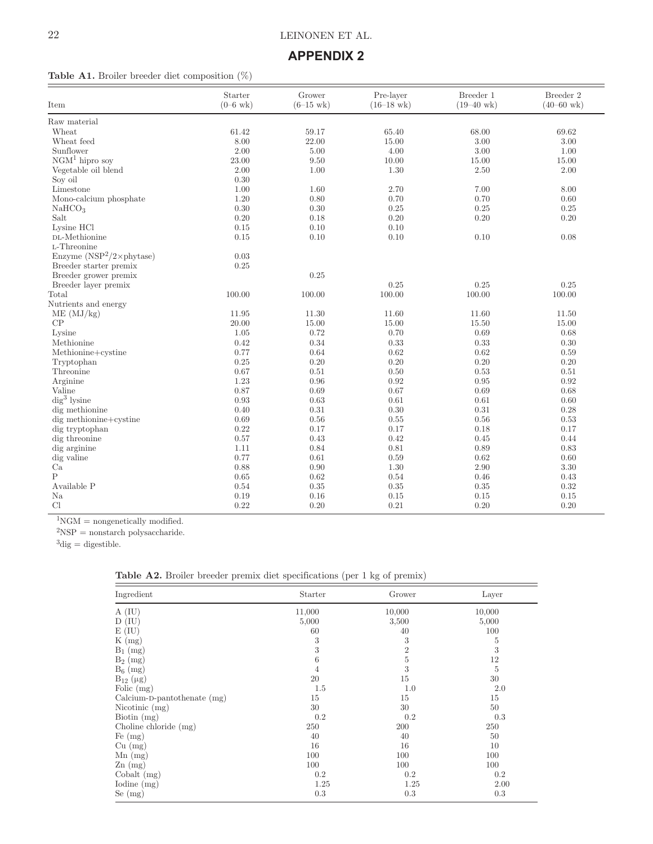## **APPENDIX 2**

## **Table A1.** Broiler breeder diet composition (%)

| Item                        | Starter<br>$(0 - 6 \text{ wk})$ | Grower<br>$(6-15 \text{ wk})$ | Pre-layer<br>$(16-18 \text{ wk})$ | Breeder 1<br>$(19-40 \text{ wk})$ | Breeder 2<br>$(40 - 60 \text{ wk})$ |
|-----------------------------|---------------------------------|-------------------------------|-----------------------------------|-----------------------------------|-------------------------------------|
| Raw material                |                                 |                               |                                   |                                   |                                     |
| Wheat                       | 61.42                           | 59.17                         | 65.40                             | 68.00                             | 69.62                               |
| Wheat feed                  | 8.00                            | 22.00                         | 15.00                             | 3.00                              | 3.00                                |
| Sunflower                   | 2.00                            | 5.00                          | 4.00                              | 3.00                              | 1.00                                |
| $NGM1$ hipro sov            | 23.00                           | 9.50                          | 10.00                             | 15.00                             | 15.00                               |
| Vegetable oil blend         | 2.00                            | 1.00                          | 1.30                              | 2.50                              | 2.00                                |
| Soy oil                     | 0.30                            |                               |                                   |                                   |                                     |
| Limestone                   | 1.00                            | 1.60                          | 2.70                              | 7.00                              | 8.00                                |
| Mono-calcium phosphate      | 1.20                            | 0.80                          | 0.70                              | 0.70                              | 0.60                                |
| NaHCO <sub>3</sub>          | 0.30                            | 0.30                          | 0.25                              | 0.25                              | 0.25                                |
| Salt                        | 0.20                            | 0.18                          | 0.20                              | 0.20                              | 0.20                                |
| Lysine HCl                  | 0.15                            | 0.10                          | 0.10                              |                                   |                                     |
| DL-Methionine               | 0.15                            | 0.10                          | 0.10                              | 0.10                              | 0.08                                |
| L-Threonine                 |                                 |                               |                                   |                                   |                                     |
| Enzyme $(NSP2/2\timesphys)$ | 0.03                            |                               |                                   |                                   |                                     |
| Breeder starter premix      | 0.25                            |                               |                                   |                                   |                                     |
| Breeder grower premix       |                                 | 0.25                          |                                   |                                   |                                     |
| Breeder layer premix        |                                 |                               | 0.25                              | 0.25                              | 0.25                                |
| Total                       | 100.00                          | 100.00                        | 100.00                            | 100.00                            | 100.00                              |
| Nutrients and energy        |                                 |                               |                                   |                                   |                                     |
| ME (MJ/kg)                  | 11.95                           | 11.30                         | 11.60                             | 11.60                             | 11.50                               |
| CP                          | 20.00                           | 15.00                         | 15.00                             | 15.50                             | 15.00                               |
| Lysine                      | 1.05                            | 0.72                          | 0.70                              | 0.69                              | 0.68                                |
| Methionine                  | 0.42                            | 0.34                          | 0.33                              | 0.33                              | 0.30                                |
| Methionine+cystine          | 0.77                            | 0.64                          | 0.62                              | 0.62                              | 0.59                                |
| Tryptophan                  | 0.25                            | 0.20                          | 0.20                              | 0.20                              | 0.20                                |
| Threonine                   | 0.67                            | 0.51                          | 0.50                              | 0.53                              | 0.51                                |
| Arginine                    | 1.23                            | 0.96                          | 0.92                              | 0.95                              | 0.92                                |
| Valine                      | 0.87                            | 0.69                          | 0.67                              | 0.69                              | 0.68                                |
| $dig3$ lysine               | 0.93                            | 0.63                          | 0.61                              | 0.61                              | 0.60                                |
| dig methionine              | 0.40                            | 0.31                          | 0.30                              | 0.31                              | 0.28                                |
| dig methionine+cystine      | 0.69                            | 0.56                          | 0.55                              | 0.56                              | 0.53                                |
| dig tryptophan              | 0.22                            | 0.17                          | 0.17                              | 0.18                              | 0.17                                |
| dig threonine               | 0.57                            | 0.43                          | 0.42                              | 0.45                              | 0.44                                |
| dig arginine                | 1.11                            | 0.84                          | 0.81                              | 0.89                              | 0.83                                |
| dig valine                  | 0.77                            | 0.61                          | 0.59                              | 0.62                              | 0.60                                |
| Ca                          | 0.88                            | 0.90                          | 1.30                              | 2.90                              | 3.30                                |
| $\mathsf{P}$                | 0.65                            | 0.62                          | 0.54                              | 0.46                              | 0.43                                |
| Available P                 | 0.54                            | 0.35                          | 0.35                              | 0.35                              | 0.32                                |
| Na                          | 0.19                            | 0.16                          | 0.15                              | 0.15                              | 0.15                                |
| Cl                          | 0.22                            | 0.20                          | 0.21                              | 0.20                              | 0.20                                |

 ${}^{1}\text{NGM}$  = nongenetically modified.

 $\mathrm{^2NSP}$  = nonstarch polysaccharide.

 ${}^{3}\mathrm{dig}$  = digestible.

| Ingredient                    | Starter | Grower         | Layer  |
|-------------------------------|---------|----------------|--------|
| A(IU)                         | 11,000  | 10,000         | 10,000 |
| D(IU)                         | 5,000   | 3,500          | 5,000  |
| $E$ (IU)                      | 60      | 40             | 100    |
| $K$ (mg)                      | 3       | 3              | 5      |
| $B_1$ (mg)                    | 3       | $\overline{2}$ | 3      |
| $B_2$ (mg)                    | 6       | $\bf 5$        | 12     |
| $B_6$ (mg)                    | 4       | 3              | 5      |
| $B_{12} (\mu g)$              | 20      | 15             | 30     |
| Folic (mg)                    | 1.5     | 1.0            | 2.0    |
| $Calcium-D-pantotherate (mg)$ | 15      | 15             | 15     |
| Nicotinic $(mg)$              | 30      | 30             | 50     |
| Biotin (mg)                   | 0.2     | 0.2            | 0.3    |
| Choline chloride (mg)         | 250     | 200            | 250    |
| Fe (mg)                       | 40      | 40             | 50     |
| $Cu$ (mg)                     | 16      | 16             | 10     |
| $Mn$ (mg)                     | 100     | 100            | 100    |
| $\text{Zn}$ (mg)              | 100     | 100            | 100    |
| $Cobalt$ $(mg)$               | 0.2     | 0.2            | 0.2    |
| Iodine $(mg)$                 | 1.25    | 1.25           | 2.00   |
| Se (mg)                       | 0.3     | 0.3            | 0.3    |

**Table A2.** Broiler breeder premix diet specifications (per 1 kg of premix)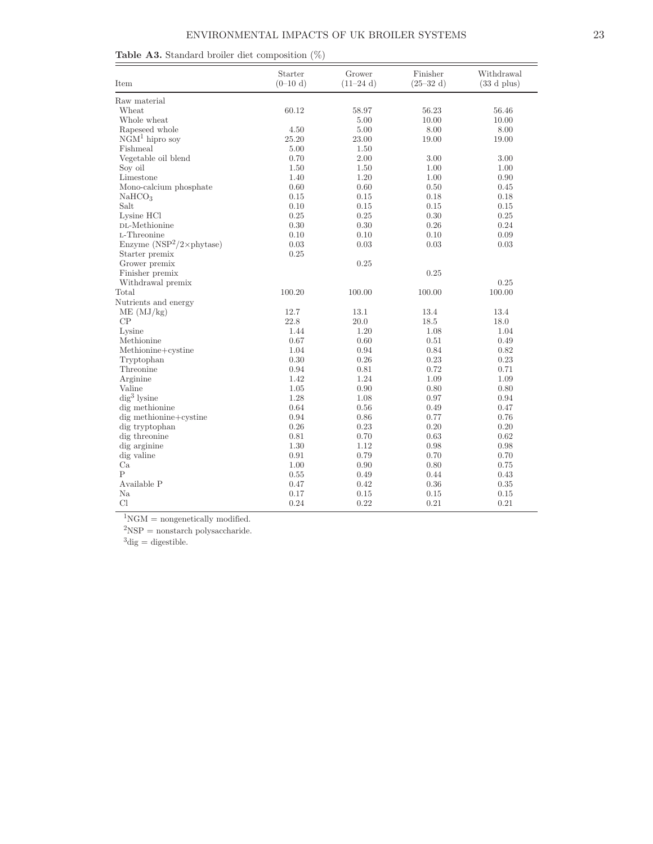| Item                        | Starter<br>$(0-10 d)$ | Grower<br>$(11-24d)$ | Finisher<br>$(25-32d)$ | Withdrawal<br>$(33 d)$ plus) |
|-----------------------------|-----------------------|----------------------|------------------------|------------------------------|
| Raw material                |                       |                      |                        |                              |
| Wheat                       | 60.12                 | 58.97                | 56.23                  | 56.46                        |
| Whole wheat                 |                       | 5.00                 | 10.00                  | 10.00                        |
| Rapeseed whole              | 4.50                  | 5.00                 | 8.00                   | 8.00                         |
| $NGM1$ hipro soy            | 25.20                 | 23.00                | 19.00                  | 19.00                        |
| Fishmeal                    | 5.00                  | 1.50                 |                        |                              |
| Vegetable oil blend         | 0.70                  | $2.00\,$             | $3.00\,$               | 3.00                         |
| Soy oil                     | 1.50                  | 1.50                 | 1.00                   | 1.00                         |
| Limestone                   | 1.40                  | 1.20                 | 1.00                   | 0.90                         |
| Mono-calcium phosphate      | 0.60                  | 0.60                 | 0.50                   | 0.45                         |
| NaHCO <sub>3</sub>          | $0.15\,$              | $0.15\,$             | 0.18                   | 0.18                         |
| Salt                        | 0.10                  | 0.15                 | 0.15                   | 0.15                         |
| Lysine HCl                  | 0.25                  | 0.25                 | 0.30                   | 0.25                         |
| DL-Methionine               | 0.30                  | 0.30                 | 0.26                   | 0.24                         |
| L-Threonine                 | 0.10                  | 0.10                 | 0.10                   | 0.09                         |
| Enzyme $(NSP2/2\timesphys)$ | 0.03                  | 0.03                 | 0.03                   | 0.03                         |
| Starter premix              | 0.25                  |                      |                        |                              |
| Grower premix               |                       | 0.25                 |                        |                              |
| Finisher premix             |                       |                      | 0.25                   |                              |
| Withdrawal premix           |                       |                      |                        | 0.25                         |
| Total                       | 100.20                | 100.00               | 100.00                 | 100.00                       |
| Nutrients and energy        |                       |                      |                        |                              |
| ME (MJ/kg)                  | 12.7                  | 13.1                 | 13.4                   | 13.4                         |
| CP                          | 22.8                  | 20.0                 | 18.5                   | 18.0                         |
| Lysine                      | 1.44                  | 1.20                 | 1.08                   | 1.04                         |
| Methionine                  | 0.67                  | 0.60                 | 0.51                   | 0.49                         |
| Methionine+cystine          | 1.04                  | 0.94                 | 0.84                   | 0.82                         |
| Tryptophan                  | 0.30                  | 0.26                 | 0.23                   | 0.23                         |
| Threonine                   | 0.94                  | 0.81                 | 0.72                   | 0.71                         |
| Arginine                    | 1.42                  | 1.24                 | 1.09                   | 1.09                         |
| Valine                      | 1.05                  | 0.90                 | 0.80                   | 0.80                         |
| $\text{dig}^3$ lysine       | $1.28\,$              | 1.08                 | 0.97                   | 0.94                         |
| dig methionine              | 0.64                  | 0.56                 | 0.49                   | 0.47                         |
| $dig$ methionine+cystine    | 0.94                  | 0.86                 | 0.77                   | 0.76                         |
| dig tryptophan              | 0.26                  | 0.23                 | 0.20                   | 0.20                         |
| dig threonine               | 0.81                  | 0.70                 | 0.63                   | 0.62                         |
| dig arginine                | 1.30                  | 1.12                 | 0.98                   | 0.98                         |
| dig valine                  | 0.91                  | 0.79                 | 0.70                   | 0.70                         |
| Ca                          | 1.00                  | 0.90                 | 0.80                   | 0.75                         |
| $\mathsf{P}$                | 0.55                  | 0.49                 | 0.44                   | 0.43                         |
| Available P                 | 0.47                  | 0.42                 | 0.36                   | 0.35                         |
| Na                          | 0.17                  | 0.15                 | 0.15                   | 0.15                         |
| Cl                          | 0.24                  | 0.22                 | 0.21                   | 0.21                         |
|                             |                       |                      |                        |                              |

**Table A3.** Standard broiler diet composition (%)

 ${}^{1}\text{NGM}$  = nongenetically modified.

 ${}^{2}NSP$  = nonstarch polysaccharide.

 ${}^{3}$ dig = digestible.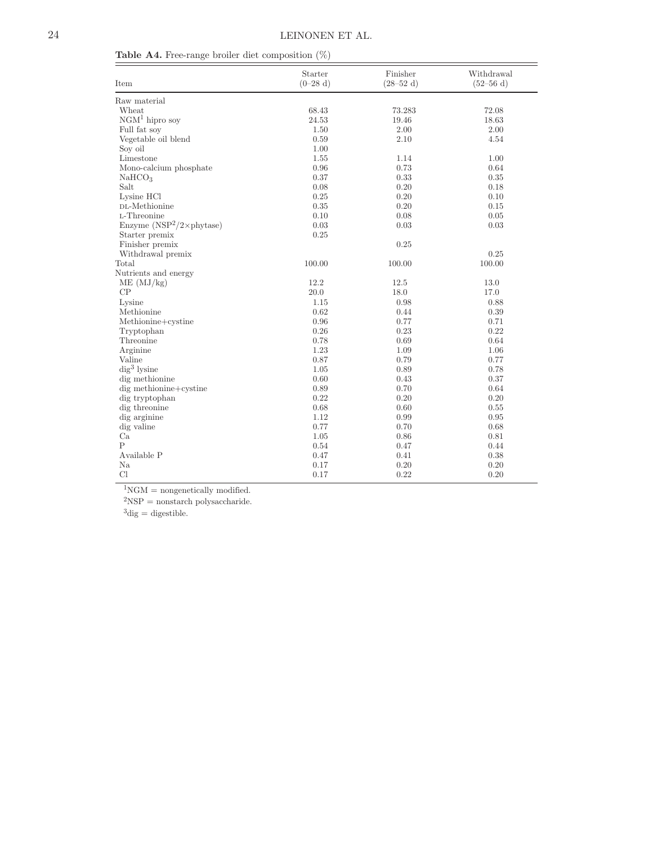|  |  |  |  |  | <b>Table A4.</b> Free-range broiler diet composition $(\%)$ |  |  |
|--|--|--|--|--|-------------------------------------------------------------|--|--|
|--|--|--|--|--|-------------------------------------------------------------|--|--|

| Item                                 | Starter<br>$(0-28 d)$ | Finisher<br>$(28-52d)$ | Withdrawal<br>$(52-56 d)$ |
|--------------------------------------|-----------------------|------------------------|---------------------------|
|                                      |                       |                        |                           |
| Raw material                         |                       |                        |                           |
| Wheat                                | 68.43                 | 73.283                 | 72.08                     |
| $NGM1$ hipro soy                     | 24.53                 | 19.46                  | 18.63                     |
| Full fat soy                         | 1.50                  | 2.00                   | 2.00                      |
| Vegetable oil blend                  | 0.59                  | 2.10                   | 4.54                      |
| Soy oil                              | 1.00                  |                        |                           |
| Limestone                            | 1.55                  | 1.14                   | 1.00                      |
| Mono-calcium phosphate               | 0.96                  | 0.73                   | 0.64                      |
| NaHCO <sub>3</sub>                   | 0.37                  | 0.33                   | 0.35                      |
| Salt                                 | 0.08                  | 0.20                   | 0.18                      |
| Lysine HCl                           | 0.25                  | 0.20                   | 0.10                      |
| DL-Methionine                        | 0.35                  | 0.20                   | 0.15                      |
| L-Threonine                          | 0.10                  | 0.08                   | 0.05                      |
| Enzyme (NSP <sup>2</sup> /2×phytase) | 0.03                  | 0.03                   | 0.03                      |
| Starter premix                       | 0.25                  |                        |                           |
| Finisher premix                      |                       | 0.25                   |                           |
| Withdrawal premix                    |                       |                        | 0.25                      |
| Total                                | 100.00                | 100.00                 | 100.00                    |
| Nutrients and energy                 |                       |                        |                           |
| ME (MJ/kg)                           | 12.2                  | 12.5                   | 13.0                      |
| CP                                   | 20.0                  | 18.0                   | 17.0                      |
| Lysine                               | 1.15                  | 0.98                   | 0.88                      |
| Methionine                           | 0.62                  | 0.44                   | 0.39                      |
| Methionine+cystine                   | 0.96                  | 0.77                   | 0.71                      |
| Tryptophan                           | 0.26                  | 0.23                   | 0.22                      |
| Threonine                            | 0.78                  | 0.69                   | 0.64                      |
| Arginine                             | 1.23                  | 1.09                   | 1.06                      |
| Valine                               | 0.87                  | 0.79                   | 0.77                      |
| $\text{dig}^3$ lysine                | 1.05                  | 0.89                   | 0.78                      |
| dig methionine                       | 0.60                  | 0.43                   | 0.37                      |
| dig methionine+cystine               | 0.89                  | 0.70                   | 0.64                      |
| dig tryptophan                       | 0.22                  | 0.20                   | 0.20                      |
| dig threonine                        | 0.68                  | 0.60                   | 0.55                      |
| dig arginine                         | 1.12                  | 0.99                   | 0.95                      |
| dig valine                           | 0.77                  | 0.70                   | 0.68                      |
| Ca                                   | 1.05                  | 0.86                   | 0.81                      |
| P                                    | 0.54                  | 0.47                   | 0.44                      |
| Available P                          | 0.47                  | 0.41                   | 0.38                      |
| Na                                   | 0.17                  | 0.20                   | 0.20                      |
| Cl                                   | 0.17                  | 0.22                   | 0.20                      |

 ${}^{1}\text{NGM}$  = nongenetically modified.

 $\mathrm{^2NSP}$  = nonstarch polysaccharide.

 $^3\mathrm{dig} =$  digestible.